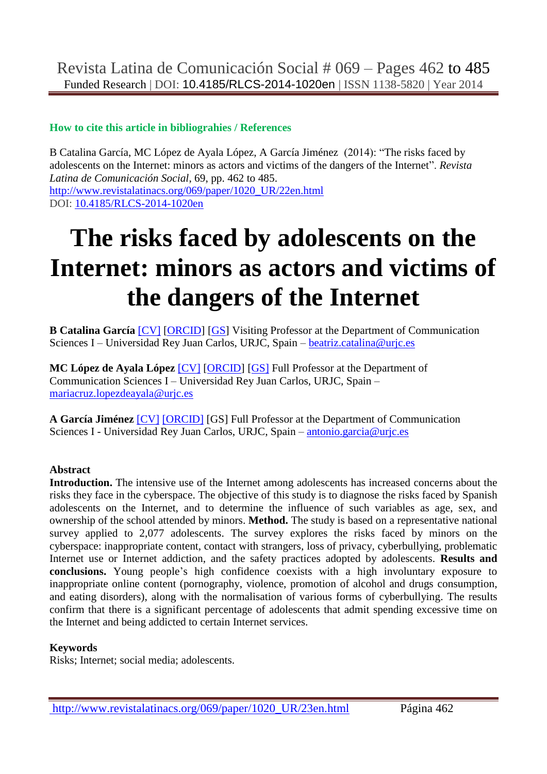## **How to cite this article in bibliograhies / References**

B Catalina García, MC López de Ayala López, A García Jiménez (2014): "The risks faced by adolescents on the Internet: minors as actors and victims of the dangers of the Internet". *Revista Latina de Comunicación Social*, 69, pp. 462 to 485. [http://www.revistalatinacs.org/069/paper/1020\\_UR/22en.html](http://www.revistalatinacs.org/069/paper/1020_UR/22en.html) DOI: [10.4185/RLCS-2014-1020en](http://dx.doi.org/10.4185/RLCS-2014-1020en)

# **The risks faced by adolescents on the Internet: minors as actors and victims of the dangers of the Internet**

**B Catalina García** [\[CV\]](cv1en.html) [\[ORCID\]](http://orcid.org/0000-0003-0464-3225) [\[GS\]](http://scholar.google.es/citations?hl=es&user=Guzli5AAAAAJ&view_op=list_works&gmla=AJsN-F4cudI0kNaDapJ_WrIrGH_4M5ea0lejjxDC4-WP75fF0H4gs4W1kRJw91baiv3lceQADwJ5kOF6pvVIcclV7FWK9utJxrSMtzx1GTUoRujwWx1_0RNhey1vQAC-KpUy_ILvw1n1FRK5NOHwSBZr6PyzK9VTdg) Visiting Professor at the Department of Communication Sciences I – Universidad Rey Juan Carlos, URJC, Spain – [beatriz.catalina@urjc.es](mailto:beatriz.catalina@urjc.es)

**MC López de Ayala López** [\[CV\]](cv2en.html) [\[ORCID\]](http://orcid.org/0000-0002-6989-866X) [\[GS\]](http://scholar.google.es/citations?user=Hg59Qi4AAAAJ) Full Professor at the Department of Communication Sciences I – Universidad Rey Juan Carlos, URJC, Spain – [mariacruz.lopezdeayala@urjc.es](mailto:mariacruz.lopezdeayala@urjc.es)

**A García Jiménez** [\[CV\]](cv3en.html) [\[ORCID\]](http://orcid.org/0000-0002-8423-9486) [GS] Full Professor at the Department of Communication Sciences I - Universidad Rey Juan Carlos, URJC, Spain – [antonio.garcia@urjc.es](mailto:antonio.garcia@urjc.es)

#### **Abstract**

**Introduction.** The intensive use of the Internet among adolescents has increased concerns about the risks they face in the cyberspace. The objective of this study is to diagnose the risks faced by Spanish adolescents on the Internet, and to determine the influence of such variables as age, sex, and ownership of the school attended by minors. **Method.** The study is based on a representative national survey applied to 2,077 adolescents. The survey explores the risks faced by minors on the cyberspace: inappropriate content, contact with strangers, loss of privacy, cyberbullying, problematic Internet use or Internet addiction, and the safety practices adopted by adolescents. **Results and conclusions.** Young people's high confidence coexists with a high involuntary exposure to inappropriate online content (pornography, violence, promotion of alcohol and drugs consumption, and eating disorders), along with the normalisation of various forms of cyberbullying. The results confirm that there is a significant percentage of adolescents that admit spending excessive time on the Internet and being addicted to certain Internet services.

#### **Keywords**

Risks; Internet; social media; adolescents.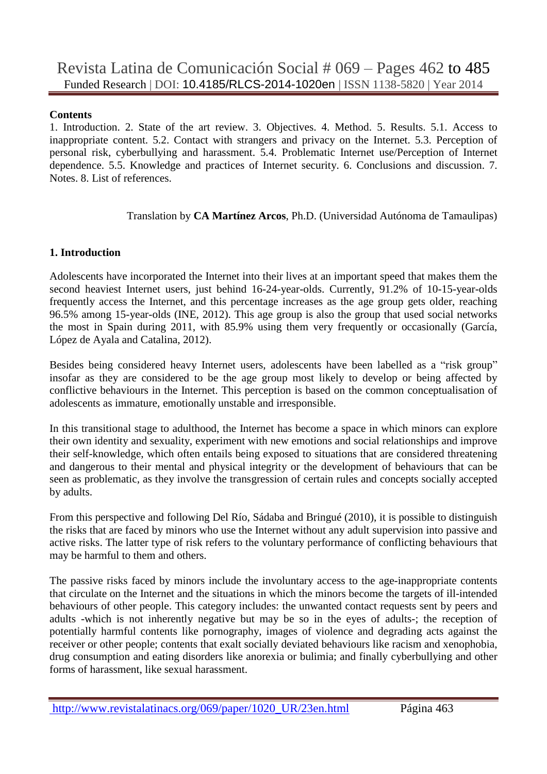#### **Contents**

1. Introduction. 2. State of the art review. 3. Objectives. 4. Method. 5. Results. 5.1. Access to inappropriate content. 5.2. Contact with strangers and privacy on the Internet. 5.3. Perception of personal risk, cyberbullying and harassment. 5.4. Problematic Internet use/Perception of Internet dependence. 5.5. Knowledge and practices of Internet security. 6. Conclusions and discussion. 7. Notes. 8. List of references.

#### Translation by **CA Martínez Arcos**, Ph.D. (Universidad Autónoma de Tamaulipas)

## **1. Introduction**

Adolescents have incorporated the Internet into their lives at an important speed that makes them the second heaviest Internet users, just behind 16-24-year-olds. Currently, 91.2% of 10-15-year-olds frequently access the Internet, and this percentage increases as the age group gets older, reaching 96.5% among 15-year-olds (INE, 2012). This age group is also the group that used social networks the most in Spain during 2011, with 85.9% using them very frequently or occasionally (García, López de Ayala and Catalina, 2012).

Besides being considered heavy Internet users, adolescents have been labelled as a "risk group" insofar as they are considered to be the age group most likely to develop or being affected by conflictive behaviours in the Internet. This perception is based on the common conceptualisation of adolescents as immature, emotionally unstable and irresponsible.

In this transitional stage to adulthood, the Internet has become a space in which minors can explore their own identity and sexuality, experiment with new emotions and social relationships and improve their self-knowledge, which often entails being exposed to situations that are considered threatening and dangerous to their mental and physical integrity or the development of behaviours that can be seen as problematic, as they involve the transgression of certain rules and concepts socially accepted by adults.

From this perspective and following Del Río, Sádaba and Bringué (2010), it is possible to distinguish the risks that are faced by minors who use the Internet without any adult supervision into passive and active risks. The latter type of risk refers to the voluntary performance of conflicting behaviours that may be harmful to them and others.

The passive risks faced by minors include the involuntary access to the age-inappropriate contents that circulate on the Internet and the situations in which the minors become the targets of ill-intended behaviours of other people. This category includes: the unwanted contact requests sent by peers and adults -which is not inherently negative but may be so in the eyes of adults-; the reception of potentially harmful contents like pornography, images of violence and degrading acts against the receiver or other people; contents that exalt socially deviated behaviours like racism and xenophobia, drug consumption and eating disorders like anorexia or bulimia; and finally cyberbullying and other forms of harassment, like sexual harassment.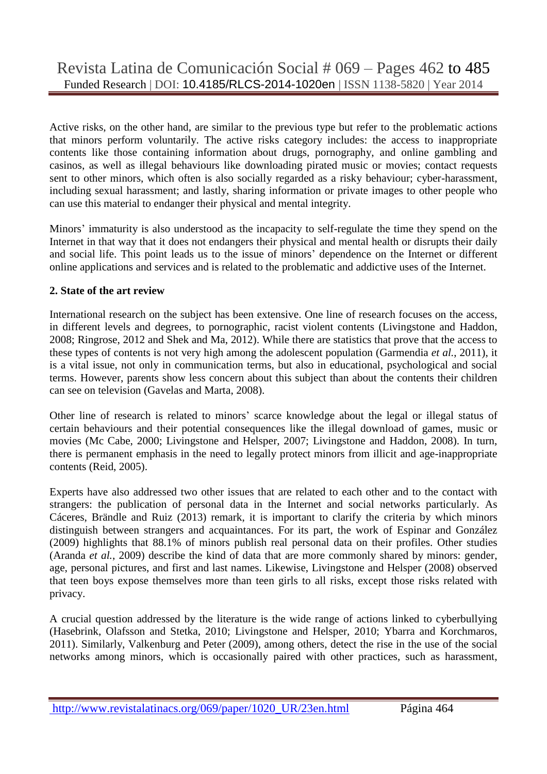Active risks, on the other hand, are similar to the previous type but refer to the problematic actions that minors perform voluntarily. The active risks category includes: the access to inappropriate contents like those containing information about drugs, pornography, and online gambling and casinos, as well as illegal behaviours like downloading pirated music or movies; contact requests sent to other minors, which often is also socially regarded as a risky behaviour; cyber-harassment, including sexual harassment; and lastly, sharing information or private images to other people who can use this material to endanger their physical and mental integrity.

Minors' immaturity is also understood as the incapacity to self-regulate the time they spend on the Internet in that way that it does not endangers their physical and mental health or disrupts their daily and social life. This point leads us to the issue of minors' dependence on the Internet or different online applications and services and is related to the problematic and addictive uses of the Internet.

## **2. State of the art review**

International research on the subject has been extensive. One line of research focuses on the access, in different levels and degrees, to pornographic, racist violent contents (Livingstone and Haddon, 2008; Ringrose, 2012 and Shek and Ma, 2012). While there are statistics that prove that the access to these types of contents is not very high among the adolescent population (Garmendia *et al.*, 2011), it is a vital issue, not only in communication terms, but also in educational, psychological and social terms. However, parents show less concern about this subject than about the contents their children can see on television (Gavelas and Marta, 2008).

Other line of research is related to minors' scarce knowledge about the legal or illegal status of certain behaviours and their potential consequences like the illegal download of games, music or movies (Mc Cabe, 2000; Livingstone and Helsper, 2007; Livingstone and Haddon, 2008). In turn, there is permanent emphasis in the need to legally protect minors from illicit and age-inappropriate contents (Reid, 2005).

Experts have also addressed two other issues that are related to each other and to the contact with strangers: the publication of personal data in the Internet and social networks particularly. As Cáceres, Brändle and Ruiz (2013) remark, it is important to clarify the criteria by which minors distinguish between strangers and acquaintances. For its part, the work of Espinar and González (2009) highlights that 88.1% of minors publish real personal data on their profiles. Other studies (Aranda *et al.*, 2009) describe the kind of data that are more commonly shared by minors: gender, age, personal pictures, and first and last names. Likewise, Livingstone and Helsper (2008) observed that teen boys expose themselves more than teen girls to all risks, except those risks related with privacy.

A crucial question addressed by the literature is the wide range of actions linked to cyberbullying (Hasebrink, Olafsson and Stetka, 2010; Livingstone and Helsper, 2010; Ybarra and Korchmaros, 2011). Similarly, Valkenburg and Peter (2009), among others, detect the rise in the use of the social networks among minors, which is occasionally paired with other practices, such as harassment,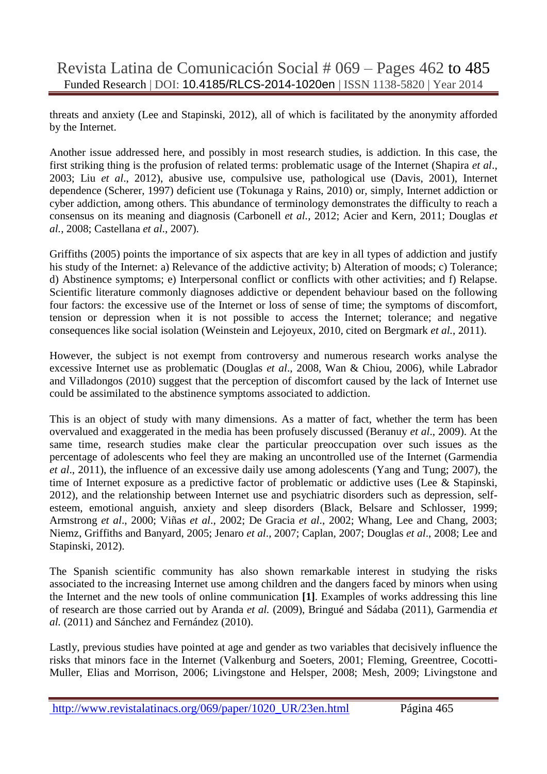threats and anxiety (Lee and Stapinski, 2012), all of which is facilitated by the anonymity afforded by the Internet.

Another issue addressed here, and possibly in most research studies, is addiction. In this case, the first striking thing is the profusion of related terms: problematic usage of the Internet (Shapira *et al*., 2003; Liu *et al*., 2012), abusive use, compulsive use, pathological use (Davis, 2001), Internet dependence (Scherer, 1997) deficient use (Tokunaga y Rains, 2010) or, simply, Internet addiction or cyber addiction, among others. This abundance of terminology demonstrates the difficulty to reach a consensus on its meaning and diagnosis (Carbonell *et al.*, 2012; Acier and Kern, 2011; Douglas *et al.*, 2008; Castellana *et al*., 2007).

Griffiths (2005) points the importance of six aspects that are key in all types of addiction and justify his study of the Internet: a) Relevance of the addictive activity; b) Alteration of moods; c) Tolerance; d) Abstinence symptoms; e) Interpersonal conflict or conflicts with other activities; and f) Relapse. Scientific literature commonly diagnoses addictive or dependent behaviour based on the following four factors: the excessive use of the Internet or loss of sense of time; the symptoms of discomfort, tension or depression when it is not possible to access the Internet; tolerance; and negative consequences like social isolation (Weinstein and Lejoyeux, 2010, cited on Bergmark *et al.*, 2011).

However, the subject is not exempt from controversy and numerous research works analyse the excessive Internet use as problematic (Douglas *et al*., 2008, Wan & Chiou, 2006), while Labrador and Villadongos (2010) suggest that the perception of discomfort caused by the lack of Internet use could be assimilated to the abstinence symptoms associated to addiction.

This is an object of study with many dimensions. As a matter of fact, whether the term has been overvalued and exaggerated in the media has been profusely discussed (Beranuy *et al*., 2009). At the same time, research studies make clear the particular preoccupation over such issues as the percentage of adolescents who feel they are making an uncontrolled use of the Internet (Garmendia *et al*., 2011), the influence of an excessive daily use among adolescents (Yang and Tung; 2007), the time of Internet exposure as a predictive factor of problematic or addictive uses (Lee & Stapinski, 2012), and the relationship between Internet use and psychiatric disorders such as depression, selfesteem, emotional anguish, anxiety and sleep disorders (Black, Belsare and Schlosser, 1999; Armstrong *et al*., 2000; Viñas *et al*., 2002; De Gracia *et al*., 2002; Whang, Lee and Chang, 2003; Niemz, Griffiths and Banyard, 2005; Jenaro *et al*., 2007; Caplan, 2007; Douglas *et al*., 2008; Lee and Stapinski, 2012).

The Spanish scientific community has also shown remarkable interest in studying the risks associated to the increasing Internet use among children and the dangers faced by minors when using the Internet and the new tools of online communication **[1]**. Examples of works addressing this line of research are those carried out by Aranda *et al.* (2009), Bringué and Sádaba (2011), Garmendia *et al.* (2011) and Sánchez and Fernández (2010).

Lastly, previous studies have pointed at age and gender as two variables that decisively influence the risks that minors face in the Internet (Valkenburg and Soeters, 2001; Fleming, Greentree, Cocotti-Muller, Elias and Morrison, 2006; Livingstone and Helsper, 2008; Mesh, 2009; Livingstone and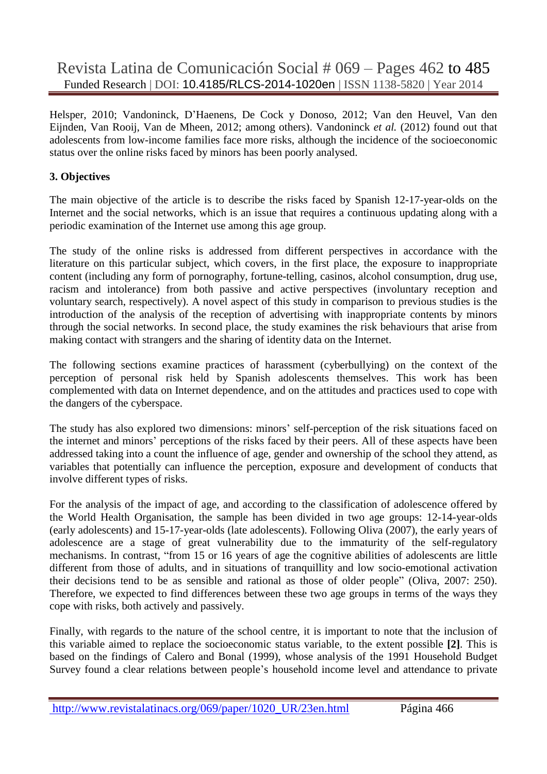Helsper, 2010; Vandoninck, D'Haenens, De Cock y Donoso, 2012; Van den Heuvel, Van den Eijnden, Van Rooij, Van de Mheen, 2012; among others). Vandoninck *et al.* (2012) found out that adolescents from low-income families face more risks, although the incidence of the socioeconomic status over the online risks faced by minors has been poorly analysed.

## **3. Objectives**

The main objective of the article is to describe the risks faced by Spanish 12-17-year-olds on the Internet and the social networks, which is an issue that requires a continuous updating along with a periodic examination of the Internet use among this age group.

The study of the online risks is addressed from different perspectives in accordance with the literature on this particular subject, which covers, in the first place, the exposure to inappropriate content (including any form of pornography, fortune-telling, casinos, alcohol consumption, drug use, racism and intolerance) from both passive and active perspectives (involuntary reception and voluntary search, respectively). A novel aspect of this study in comparison to previous studies is the introduction of the analysis of the reception of advertising with inappropriate contents by minors through the social networks. In second place, the study examines the risk behaviours that arise from making contact with strangers and the sharing of identity data on the Internet.

The following sections examine practices of harassment (cyberbullying) on the context of the perception of personal risk held by Spanish adolescents themselves. This work has been complemented with data on Internet dependence, and on the attitudes and practices used to cope with the dangers of the cyberspace.

The study has also explored two dimensions: minors' self-perception of the risk situations faced on the internet and minors' perceptions of the risks faced by their peers. All of these aspects have been addressed taking into a count the influence of age, gender and ownership of the school they attend, as variables that potentially can influence the perception, exposure and development of conducts that involve different types of risks.

For the analysis of the impact of age, and according to the classification of adolescence offered by the World Health Organisation, the sample has been divided in two age groups: 12-14-year-olds (early adolescents) and 15-17-year-olds (late adolescents). Following Oliva (2007), the early years of adolescence are a stage of great vulnerability due to the immaturity of the self-regulatory mechanisms. In contrast, "from 15 or 16 years of age the cognitive abilities of adolescents are little different from those of adults, and in situations of tranquillity and low socio-emotional activation their decisions tend to be as sensible and rational as those of older people" (Oliva, 2007: 250). Therefore, we expected to find differences between these two age groups in terms of the ways they cope with risks, both actively and passively.

Finally, with regards to the nature of the school centre, it is important to note that the inclusion of this variable aimed to replace the socioeconomic status variable, to the extent possible **[2]**. This is based on the findings of Calero and Bonal (1999), whose analysis of the 1991 Household Budget Survey found a clear relations between people's household income level and attendance to private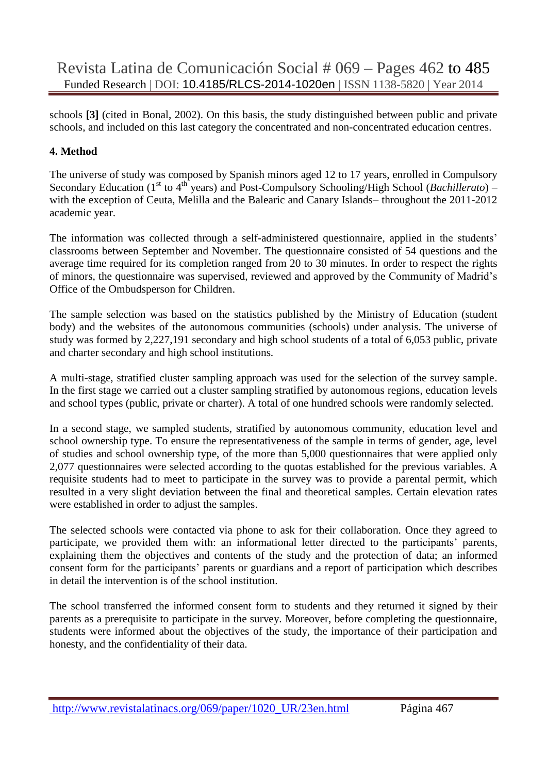schools **[3]** (cited in Bonal, 2002). On this basis, the study distinguished between public and private schools, and included on this last category the concentrated and non-concentrated education centres.

## **4. Method**

The universe of study was composed by Spanish minors aged 12 to 17 years, enrolled in Compulsory Secondary Education (1<sup>st</sup> to 4<sup>th</sup> years) and Post-Compulsory Schooling/High School (*Bachillerato*) – with the exception of Ceuta, Melilla and the Balearic and Canary Islands– throughout the 2011-2012 academic year.

The information was collected through a self-administered questionnaire, applied in the students' classrooms between September and November. The questionnaire consisted of 54 questions and the average time required for its completion ranged from 20 to 30 minutes. In order to respect the rights of minors, the questionnaire was supervised, reviewed and approved by the Community of Madrid's Office of the Ombudsperson for Children.

The sample selection was based on the statistics published by the Ministry of Education (student body) and the websites of the autonomous communities (schools) under analysis. The universe of study was formed by 2,227,191 secondary and high school students of a total of 6,053 public, private and charter secondary and high school institutions.

A multi-stage, stratified cluster sampling approach was used for the selection of the survey sample. In the first stage we carried out a cluster sampling stratified by autonomous regions, education levels and school types (public, private or charter). A total of one hundred schools were randomly selected.

In a second stage, we sampled students, stratified by autonomous community, education level and school ownership type. To ensure the representativeness of the sample in terms of gender, age, level of studies and school ownership type, of the more than 5,000 questionnaires that were applied only 2,077 questionnaires were selected according to the quotas established for the previous variables. A requisite students had to meet to participate in the survey was to provide a parental permit, which resulted in a very slight deviation between the final and theoretical samples. Certain elevation rates were established in order to adjust the samples.

The selected schools were contacted via phone to ask for their collaboration. Once they agreed to participate, we provided them with: an informational letter directed to the participants' parents, explaining them the objectives and contents of the study and the protection of data; an informed consent form for the participants' parents or guardians and a report of participation which describes in detail the intervention is of the school institution.

The school transferred the informed consent form to students and they returned it signed by their parents as a prerequisite to participate in the survey. Moreover, before completing the questionnaire, students were informed about the objectives of the study, the importance of their participation and honesty, and the confidentiality of their data.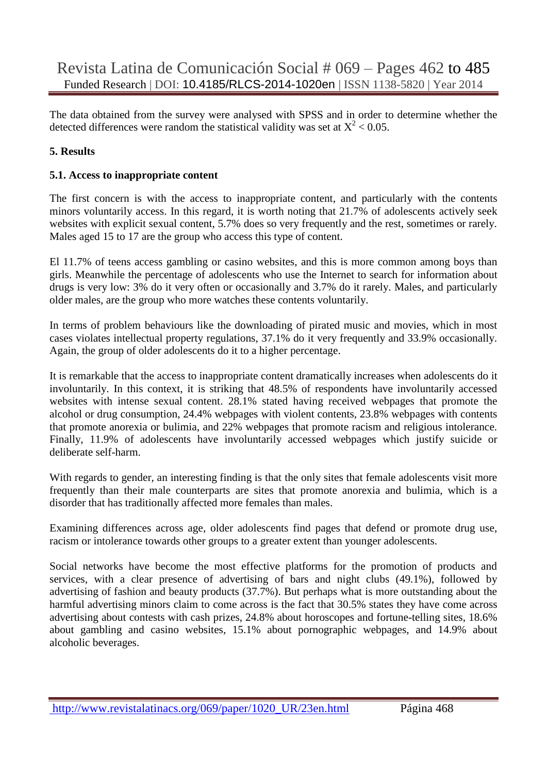The data obtained from the survey were analysed with SPSS and in order to determine whether the detected differences were random the statistical validity was set at  $X^2$  < 0.05.

## **5. Results**

#### **5.1. Access to inappropriate content**

The first concern is with the access to inappropriate content, and particularly with the contents minors voluntarily access. In this regard, it is worth noting that 21.7% of adolescents actively seek websites with explicit sexual content, 5.7% does so very frequently and the rest, sometimes or rarely. Males aged 15 to 17 are the group who access this type of content.

El 11.7% of teens access gambling or casino websites, and this is more common among boys than girls. Meanwhile the percentage of adolescents who use the Internet to search for information about drugs is very low: 3% do it very often or occasionally and 3.7% do it rarely. Males, and particularly older males, are the group who more watches these contents voluntarily.

In terms of problem behaviours like the downloading of pirated music and movies, which in most cases violates intellectual property regulations, 37.1% do it very frequently and 33.9% occasionally. Again, the group of older adolescents do it to a higher percentage.

It is remarkable that the access to inappropriate content dramatically increases when adolescents do it involuntarily. In this context, it is striking that 48.5% of respondents have involuntarily accessed websites with intense sexual content. 28.1% stated having received webpages that promote the alcohol or drug consumption, 24.4% webpages with violent contents, 23.8% webpages with contents that promote anorexia or bulimia, and 22% webpages that promote racism and religious intolerance. Finally, 11.9% of adolescents have involuntarily accessed webpages which justify suicide or deliberate self-harm.

With regards to gender, an interesting finding is that the only sites that female adolescents visit more frequently than their male counterparts are sites that promote anorexia and bulimia, which is a disorder that has traditionally affected more females than males.

Examining differences across age, older adolescents find pages that defend or promote drug use, racism or intolerance towards other groups to a greater extent than younger adolescents.

Social networks have become the most effective platforms for the promotion of products and services, with a clear presence of advertising of bars and night clubs (49.1%), followed by advertising of fashion and beauty products (37.7%). But perhaps what is more outstanding about the harmful advertising minors claim to come across is the fact that 30.5% states they have come across advertising about contests with cash prizes, 24.8% about horoscopes and fortune-telling sites, 18.6% about gambling and casino websites, 15.1% about pornographic webpages, and 14.9% about alcoholic beverages.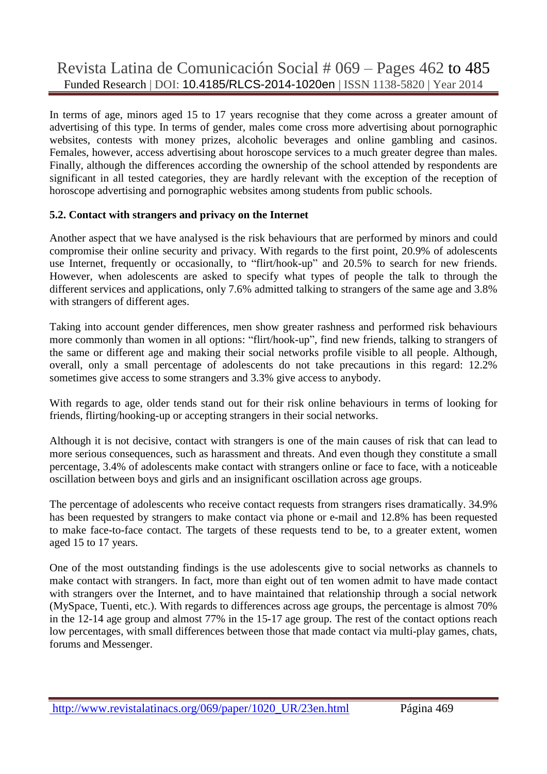In terms of age, minors aged 15 to 17 years recognise that they come across a greater amount of advertising of this type. In terms of gender, males come cross more advertising about pornographic websites, contests with money prizes, alcoholic beverages and online gambling and casinos. Females, however, access advertising about horoscope services to a much greater degree than males. Finally, although the differences according the ownership of the school attended by respondents are significant in all tested categories, they are hardly relevant with the exception of the reception of horoscope advertising and pornographic websites among students from public schools.

## **5.2. Contact with strangers and privacy on the Internet**

Another aspect that we have analysed is the risk behaviours that are performed by minors and could compromise their online security and privacy. With regards to the first point, 20.9% of adolescents use Internet, frequently or occasionally, to "flirt/hook-up" and 20.5% to search for new friends. However, when adolescents are asked to specify what types of people the talk to through the different services and applications, only 7.6% admitted talking to strangers of the same age and 3.8% with strangers of different ages.

Taking into account gender differences, men show greater rashness and performed risk behaviours more commonly than women in all options: "flirt/hook-up", find new friends, talking to strangers of the same or different age and making their social networks profile visible to all people. Although, overall, only a small percentage of adolescents do not take precautions in this regard: 12.2% sometimes give access to some strangers and 3.3% give access to anybody.

With regards to age, older tends stand out for their risk online behaviours in terms of looking for friends, flirting/hooking-up or accepting strangers in their social networks.

Although it is not decisive, contact with strangers is one of the main causes of risk that can lead to more serious consequences, such as harassment and threats. And even though they constitute a small percentage, 3.4% of adolescents make contact with strangers online or face to face, with a noticeable oscillation between boys and girls and an insignificant oscillation across age groups.

The percentage of adolescents who receive contact requests from strangers rises dramatically. 34.9% has been requested by strangers to make contact via phone or e-mail and 12.8% has been requested to make face-to-face contact. The targets of these requests tend to be, to a greater extent, women aged 15 to 17 years.

One of the most outstanding findings is the use adolescents give to social networks as channels to make contact with strangers. In fact, more than eight out of ten women admit to have made contact with strangers over the Internet, and to have maintained that relationship through a social network (MySpace, Tuenti, etc.). With regards to differences across age groups, the percentage is almost 70% in the 12-14 age group and almost 77% in the 15-17 age group. The rest of the contact options reach low percentages, with small differences between those that made contact via multi-play games, chats, forums and Messenger.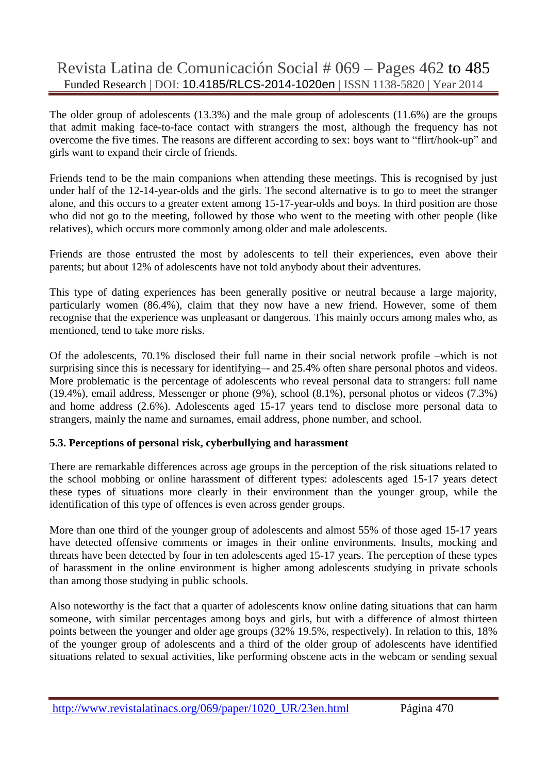The older group of adolescents (13.3%) and the male group of adolescents (11.6%) are the groups that admit making face-to-face contact with strangers the most, although the frequency has not overcome the five times. The reasons are different according to sex: boys want to "flirt/hook-up" and girls want to expand their circle of friends.

Friends tend to be the main companions when attending these meetings. This is recognised by just under half of the 12-14-year-olds and the girls. The second alternative is to go to meet the stranger alone, and this occurs to a greater extent among 15-17-year-olds and boys. In third position are those who did not go to the meeting, followed by those who went to the meeting with other people (like relatives), which occurs more commonly among older and male adolescents.

Friends are those entrusted the most by adolescents to tell their experiences, even above their parents; but about 12% of adolescents have not told anybody about their adventures*.*

This type of dating experiences has been generally positive or neutral because a large majority, particularly women (86.4%), claim that they now have a new friend. However, some of them recognise that the experience was unpleasant or dangerous. This mainly occurs among males who, as mentioned, tend to take more risks.

Of the adolescents, 70.1% disclosed their full name in their social network profile –which is not surprising since this is necessary for identifying— and 25.4% often share personal photos and videos. More problematic is the percentage of adolescents who reveal personal data to strangers: full name (19.4%), email address, Messenger or phone (9%), school (8.1%), personal photos or videos (7.3%) and home address (2.6%). Adolescents aged 15-17 years tend to disclose more personal data to strangers, mainly the name and surnames, email address, phone number, and school.

#### **5.3. Perceptions of personal risk, cyberbullying and harassment**

There are remarkable differences across age groups in the perception of the risk situations related to the school mobbing or online harassment of different types: adolescents aged 15-17 years detect these types of situations more clearly in their environment than the younger group, while the identification of this type of offences is even across gender groups.

More than one third of the younger group of adolescents and almost 55% of those aged 15-17 years have detected offensive comments or images in their online environments. Insults, mocking and threats have been detected by four in ten adolescents aged 15-17 years. The perception of these types of harassment in the online environment is higher among adolescents studying in private schools than among those studying in public schools.

Also noteworthy is the fact that a quarter of adolescents know online dating situations that can harm someone, with similar percentages among boys and girls, but with a difference of almost thirteen points between the younger and older age groups (32% 19.5%, respectively). In relation to this, 18% of the younger group of adolescents and a third of the older group of adolescents have identified situations related to sexual activities, like performing obscene acts in the webcam or sending sexual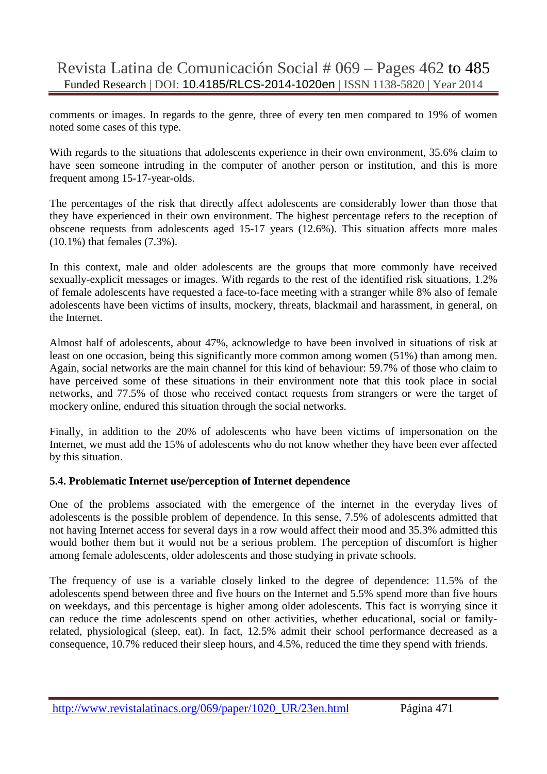comments or images. In regards to the genre, three of every ten men compared to 19% of women noted some cases of this type.

With regards to the situations that adolescents experience in their own environment, 35.6% claim to have seen someone intruding in the computer of another person or institution, and this is more frequent among 15-17-year-olds.

The percentages of the risk that directly affect adolescents are considerably lower than those that they have experienced in their own environment. The highest percentage refers to the reception of obscene requests from adolescents aged 15-17 years (12.6%). This situation affects more males (10.1%) that females (7.3%).

In this context, male and older adolescents are the groups that more commonly have received sexually-explicit messages or images. With regards to the rest of the identified risk situations, 1.2% of female adolescents have requested a face-to-face meeting with a stranger while 8% also of female adolescents have been victims of insults, mockery, threats, blackmail and harassment, in general, on the Internet.

Almost half of adolescents, about 47%, acknowledge to have been involved in situations of risk at least on one occasion, being this significantly more common among women (51%) than among men. Again, social networks are the main channel for this kind of behaviour: 59.7% of those who claim to have perceived some of these situations in their environment note that this took place in social networks, and 77.5% of those who received contact requests from strangers or were the target of mockery online, endured this situation through the social networks.

Finally, in addition to the 20% of adolescents who have been victims of impersonation on the Internet, we must add the 15% of adolescents who do not know whether they have been ever affected by this situation.

## **5.4. Problematic Internet use/perception of Internet dependence**

One of the problems associated with the emergence of the internet in the everyday lives of adolescents is the possible problem of dependence. In this sense, 7.5% of adolescents admitted that not having Internet access for several days in a row would affect their mood and 35.3% admitted this would bother them but it would not be a serious problem. The perception of discomfort is higher among female adolescents, older adolescents and those studying in private schools.

The frequency of use is a variable closely linked to the degree of dependence: 11.5% of the adolescents spend between three and five hours on the Internet and 5.5% spend more than five hours on weekdays, and this percentage is higher among older adolescents. This fact is worrying since it can reduce the time adolescents spend on other activities, whether educational, social or familyrelated, physiological (sleep, eat). In fact, 12.5% admit their school performance decreased as a consequence, 10.7% reduced their sleep hours, and 4.5%, reduced the time they spend with friends.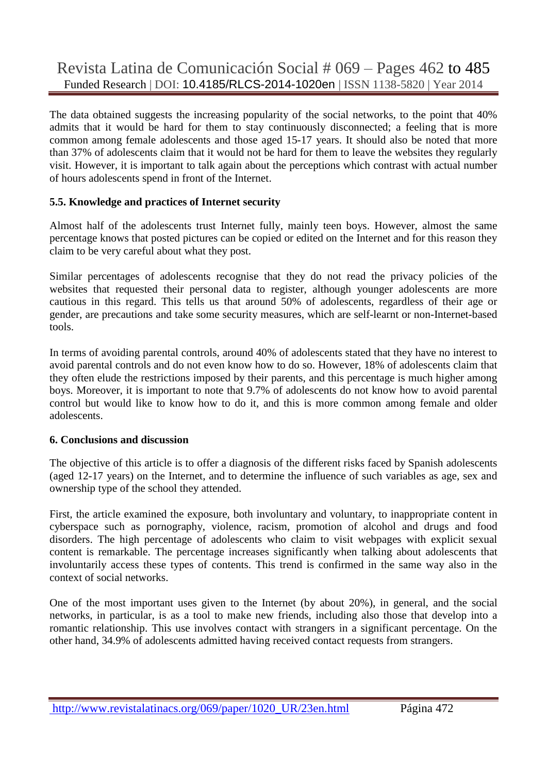The data obtained suggests the increasing popularity of the social networks, to the point that 40% admits that it would be hard for them to stay continuously disconnected; a feeling that is more common among female adolescents and those aged 15-17 years. It should also be noted that more than 37% of adolescents claim that it would not be hard for them to leave the websites they regularly visit. However, it is important to talk again about the perceptions which contrast with actual number of hours adolescents spend in front of the Internet.

## **5.5. Knowledge and practices of Internet security**

Almost half of the adolescents trust Internet fully, mainly teen boys. However, almost the same percentage knows that posted pictures can be copied or edited on the Internet and for this reason they claim to be very careful about what they post.

Similar percentages of adolescents recognise that they do not read the privacy policies of the websites that requested their personal data to register, although younger adolescents are more cautious in this regard. This tells us that around 50% of adolescents, regardless of their age or gender, are precautions and take some security measures, which are self-learnt or non-Internet-based tools.

In terms of avoiding parental controls, around 40% of adolescents stated that they have no interest to avoid parental controls and do not even know how to do so. However, 18% of adolescents claim that they often elude the restrictions imposed by their parents, and this percentage is much higher among boys. Moreover, it is important to note that 9.7% of adolescents do not know how to avoid parental control but would like to know how to do it, and this is more common among female and older adolescents.

## **6. Conclusions and discussion**

The objective of this article is to offer a diagnosis of the different risks faced by Spanish adolescents (aged 12-17 years) on the Internet, and to determine the influence of such variables as age, sex and ownership type of the school they attended.

First, the article examined the exposure, both involuntary and voluntary, to inappropriate content in cyberspace such as pornography, violence, racism, promotion of alcohol and drugs and food disorders. The high percentage of adolescents who claim to visit webpages with explicit sexual content is remarkable. The percentage increases significantly when talking about adolescents that involuntarily access these types of contents. This trend is confirmed in the same way also in the context of social networks.

One of the most important uses given to the Internet (by about 20%), in general, and the social networks, in particular, is as a tool to make new friends, including also those that develop into a romantic relationship. This use involves contact with strangers in a significant percentage. On the other hand, 34.9% of adolescents admitted having received contact requests from strangers.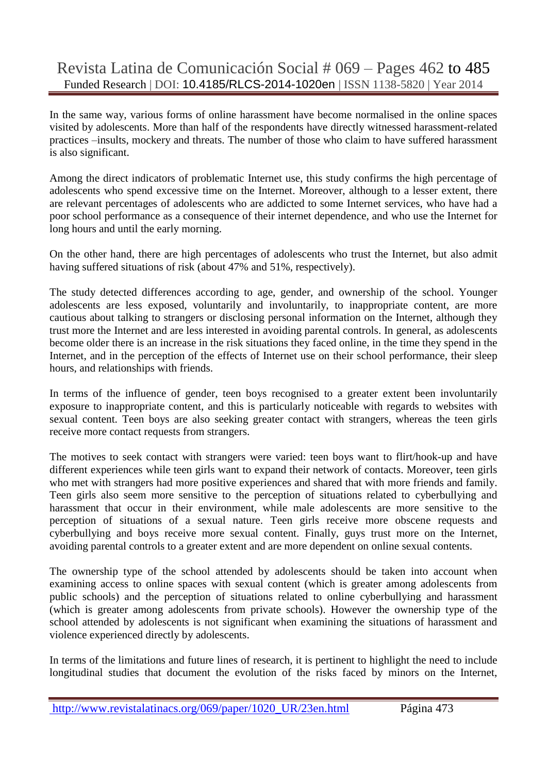In the same way, various forms of online harassment have become normalised in the online spaces visited by adolescents. More than half of the respondents have directly witnessed harassment-related practices –insults, mockery and threats. The number of those who claim to have suffered harassment is also significant.

Among the direct indicators of problematic Internet use, this study confirms the high percentage of adolescents who spend excessive time on the Internet. Moreover, although to a lesser extent, there are relevant percentages of adolescents who are addicted to some Internet services, who have had a poor school performance as a consequence of their internet dependence, and who use the Internet for long hours and until the early morning.

On the other hand, there are high percentages of adolescents who trust the Internet, but also admit having suffered situations of risk (about 47% and 51%, respectively).

The study detected differences according to age, gender, and ownership of the school. Younger adolescents are less exposed, voluntarily and involuntarily, to inappropriate content, are more cautious about talking to strangers or disclosing personal information on the Internet, although they trust more the Internet and are less interested in avoiding parental controls. In general, as adolescents become older there is an increase in the risk situations they faced online, in the time they spend in the Internet, and in the perception of the effects of Internet use on their school performance, their sleep hours, and relationships with friends.

In terms of the influence of gender, teen boys recognised to a greater extent been involuntarily exposure to inappropriate content, and this is particularly noticeable with regards to websites with sexual content. Teen boys are also seeking greater contact with strangers, whereas the teen girls receive more contact requests from strangers.

The motives to seek contact with strangers were varied: teen boys want to flirt/hook-up and have different experiences while teen girls want to expand their network of contacts. Moreover, teen girls who met with strangers had more positive experiences and shared that with more friends and family. Teen girls also seem more sensitive to the perception of situations related to cyberbullying and harassment that occur in their environment, while male adolescents are more sensitive to the perception of situations of a sexual nature. Teen girls receive more obscene requests and cyberbullying and boys receive more sexual content. Finally, guys trust more on the Internet, avoiding parental controls to a greater extent and are more dependent on online sexual contents.

The ownership type of the school attended by adolescents should be taken into account when examining access to online spaces with sexual content (which is greater among adolescents from public schools) and the perception of situations related to online cyberbullying and harassment (which is greater among adolescents from private schools). However the ownership type of the school attended by adolescents is not significant when examining the situations of harassment and violence experienced directly by adolescents.

In terms of the limitations and future lines of research, it is pertinent to highlight the need to include longitudinal studies that document the evolution of the risks faced by minors on the Internet,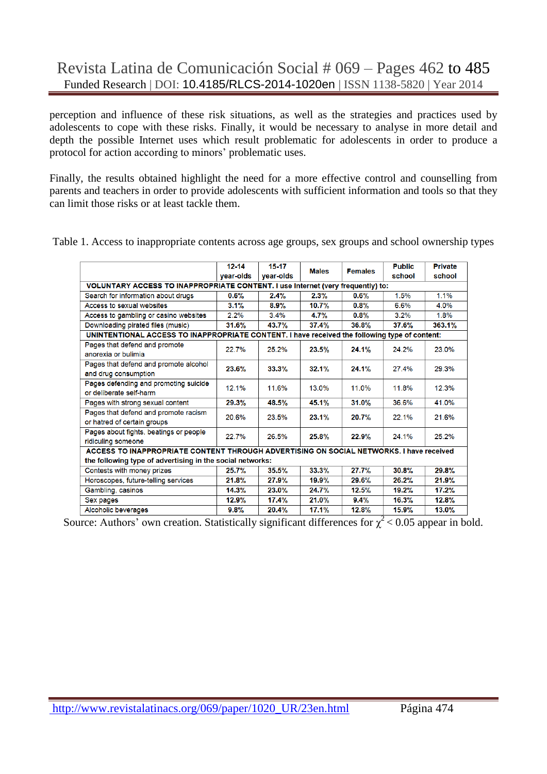perception and influence of these risk situations, as well as the strategies and practices used by adolescents to cope with these risks. Finally, it would be necessary to analyse in more detail and depth the possible Internet uses which result problematic for adolescents in order to produce a protocol for action according to minors' problematic uses.

Finally, the results obtained highlight the need for a more effective control and counselling from parents and teachers in order to provide adolescents with sufficient information and tools so that they can limit those risks or at least tackle them.

|                                                                                               | $12 - 14$<br>vear-olds | $15-17$<br>vear-olds | <b>Males</b> | <b>Females</b> | <b>Public</b><br>school | <b>Private</b><br>school |  |  |  |
|-----------------------------------------------------------------------------------------------|------------------------|----------------------|--------------|----------------|-------------------------|--------------------------|--|--|--|
| VOLUNTARY ACCESS TO INAPPROPRIATE CONTENT. I use Internet (very frequently) to:               |                        |                      |              |                |                         |                          |  |  |  |
| Search for information about drugs                                                            | $0.6\%$                | 2.4%                 | 2.3%         | 0.6%           | 1.5%                    | 1.1%                     |  |  |  |
| Access to sexual websites                                                                     | 3.1%                   | 8.9%                 | 10.7%        | 0.8%           | 6.6%                    | 4.0%                     |  |  |  |
| Access to gambling or casino websites                                                         | $2.2\%$                | 3.4%                 | 4.7%         | 0.8%           | 3.2%                    | 1.8%                     |  |  |  |
| Downloading pirated files (music)                                                             | 31.6%                  | 43.7%                | 37.4%        | 36.8%          | 37.6%                   | 363.1%                   |  |  |  |
| UNINTENTIONAL ACCESS TO INAPPROPRIATE CONTENT. I have received the following type of content: |                        |                      |              |                |                         |                          |  |  |  |
| Pages that defend and promote<br>anorexia or bulimia                                          | 22.7%                  | 25.2%                | 23.5%        | 24.1%          | 24.2%                   | 23.0%                    |  |  |  |
| Pages that defend and promote alcohol<br>and drug consumption                                 | 23.6%                  | 33.3%                | 32.1%        | 24.1%          | 27.4%                   | 29.3%                    |  |  |  |
| Pages defending and promoting suicide<br>or deliberate self-harm                              | 12.1%                  | 11.6%                | 13.0%        | 11.0%          | 11.8%                   | 12.3%                    |  |  |  |
| Pages with strong sexual content                                                              | 29.3%                  | 48.5%                | 45.1%        | 31.0%          | 36.6%                   | 41.0%                    |  |  |  |
| Pages that defend and promote racism<br>or hatred of certain groups                           | 20.6%                  | 23.5%                | 23.1%        | 20.7%          | 22.1%                   | 21.6%                    |  |  |  |
| Pages about fights, beatings or people<br>ridiculing someone                                  | 22.7%                  | 26.5%                | 25.8%        | 22.9%          | 24.1%                   | 25.2%                    |  |  |  |
| ACCESS TO INAPPROPRIATE CONTENT THROUGH ADVERTISING ON SOCIAL NETWORKS. I have received       |                        |                      |              |                |                         |                          |  |  |  |
| the following type of advertising in the social networks:                                     |                        |                      |              |                |                         |                          |  |  |  |
| Contests with money prizes                                                                    | 25.7%                  | 35.5%                | 33.3%        | 27.7%          | 30.8%                   | 29.8%                    |  |  |  |
| Horoscopes, future-telling services                                                           | 21.8%                  | 27.9%                | 19.9%        | 29.6%          | 26.2%                   | 21.9%                    |  |  |  |
| Gambling, casinos                                                                             | 14.3%                  | 23.0%                | 24.7%        | 12.5%          | 19.2%                   | 17.2%                    |  |  |  |
| Sex pages                                                                                     | 12.9%                  | 17.4%                | 21.0%        | 9.4%           | 16.3%                   | 12.8%                    |  |  |  |
| Alcoholic beverages                                                                           | 9.8%                   | 20.4%                | 17.1%        | 12.8%          | 15.9%                   | 13.0%                    |  |  |  |

Table 1. Access to inappropriate contents across age groups, sex groups and school ownership types

Source: Authors' own creation. Statistically significant differences for  $\chi^2$  < 0.05 appear in bold.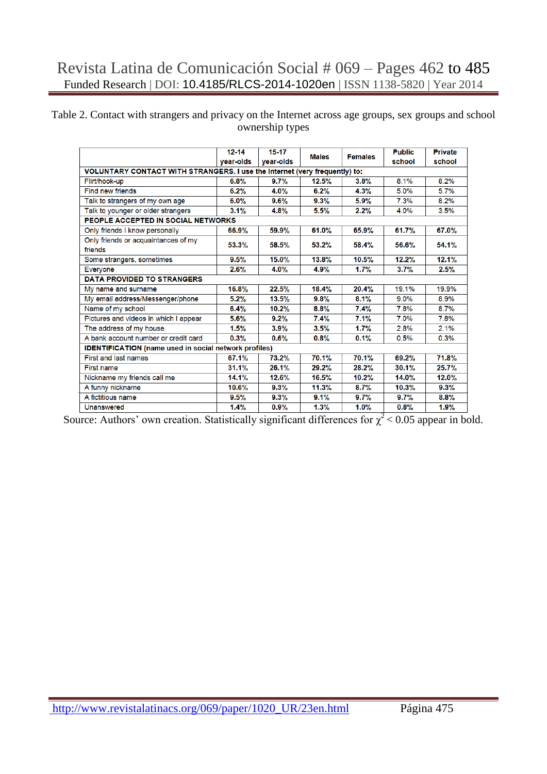#### Table 2. Contact with strangers and privacy on the Internet across age groups, sex groups and school ownership types

|                                                                            | $12 - 14$ | $15 - 17$ | <b>Males</b> | <b>Females</b> | <b>Public</b> | <b>Private</b> |
|----------------------------------------------------------------------------|-----------|-----------|--------------|----------------|---------------|----------------|
|                                                                            | vear-olds | vear-olds |              |                | school        | school         |
| VOLUNTARY CONTACT WITH STRANGERS. I use the Internet (very frequently) to: |           |           |              |                |               |                |
| Flirt/hook-up                                                              | 6.8%      | 9.7%      | 12.5%        | 3.8%           | 8.1%          | 8.2%           |
| Find new friends                                                           | 6.2%      | 4.0%      | 6.2%         | 4.3%           | 5.0%          | 5.7%           |
| Talk to strangers of my own age                                            | $6.0\%$   | $9.6\%$   | 9.3%         | 5.9%           | 7.3%          | 8.2%           |
| Talk to younger or older strangers                                         | 3.1%      | 4.8%      | 5.5%         | 2.2%           | 4.0%          | 3.5%           |
| PEOPLE ACCEPTED IN SOCIAL NETWORKS                                         |           |           |              |                |               |                |
| Only friends I know personally                                             | 66.9%     | 59.9%     | 61.0%        | 65.9%          | 61.7%         | 67.0%          |
| Only friends or acquaintances of my                                        | 53.3%     | 58.5%     | 53.2%        | 58.4%          | 56.6%         | 54.1%          |
| friends                                                                    |           |           |              |                |               |                |
| Some strangers, sometimes                                                  | 9.5%      | 15.0%     | 13.8%        | 10.5%          | 12.2%         | 12.1%          |
| Everyone                                                                   | 2.6%      | 4.0%      | 4.9%         | 1.7%           | 3.7%          | 2.5%           |
| <b>DATA PROVIDED TO STRANGERS</b>                                          |           |           |              |                |               |                |
| My name and surname                                                        | 16.8%     | 22.5%     | 18.4%        | 20.4%          | 19.1%         | 19.9%          |
| My email address/Messenger/phone                                           | 5.2%      | 13.5%     | 9.8%         | 8.1%           | 9.0%          | 8.9%           |
| Name of my school                                                          | 6.4%      | 10.2%     | 8.8%         | 7.4%           | 7.8%          | 8.7%           |
| Pictures and videos in which I appear                                      | 5.6%      | 9.2%      | 7.4%         | 7.1%           | 7.0%          | 7.8%           |
| The address of my house                                                    | 1.5%      | 3.9%      | 3.5%         | 1.7%           | 2.8%          | 2.1%           |
| A bank account number or credit card                                       | 0.3%      | $0.6\%$   | 0.8%         | 0.1%           | 0.5%          | 0.3%           |
| <b>IDENTIFICATION</b> (name used in social network profiles)               |           |           |              |                |               |                |
| First and last names                                                       | 67.1%     | 73.2%     | 70.1%        | 70.1%          | 69.2%         | 71.8%          |
| First name                                                                 | 31.1%     | 26.1%     | 29.2%        | 28.2%          | 30.1%         | 25.7%          |
| Nickname my friends call me                                                | 14.1%     | 12.6%     | 16.5%        | 10.2%          | 14.0%         | 12.0%          |
| A funny nickname                                                           | 10.6%     | 9.3%      | 11.3%        | 8.7%           | 10.3%         | 9.3%           |
| A fictitious name                                                          | 9.5%      | 9.3%      | 9.1%         | 9.7%           | 9.7%          | 8.8%           |
| Unanswered                                                                 | 1.4%      | 0.9%      | 1.3%         | 1.0%           | 0.8%          | 1.9%           |

Source: Authors' own creation. Statistically significant differences for  $\chi^2$  < 0.05 appear in bold.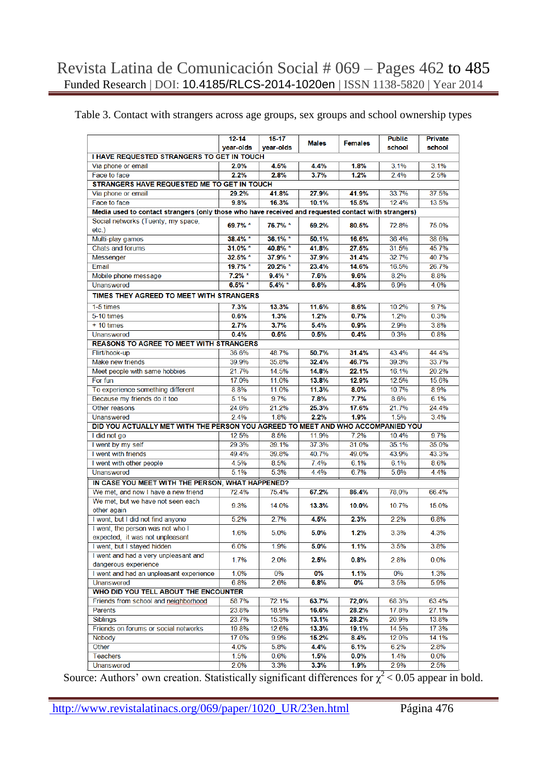#### Table 3. Contact with strangers across age groups, sex groups and school ownership types

|                                                                                                     | $12 - 14$  | $15 - 17$  |              |                | <b>Public</b> | <b>Private</b> |
|-----------------------------------------------------------------------------------------------------|------------|------------|--------------|----------------|---------------|----------------|
|                                                                                                     | year-olds  | year-olds  | <b>Males</b> | <b>Females</b> | school        | school         |
| I HAVE REQUESTED STRANGERS TO GET IN TOUCH                                                          |            |            |              |                |               |                |
| Via phone or email                                                                                  | 2.0%       | 4.5%       | 4.4%         | 1.8%           | 3.1%          | 3.1%           |
| Face to face                                                                                        | 2.2%       | 2.8%       | 3.7%         | 1.2%           | 2.4%          | 2.5%           |
| STRANGERS HAVE REQUESTED ME TO GET IN TOUCH                                                         |            |            |              |                |               |                |
| Via phone or email                                                                                  | 29.2%      | 41.8%      | 27.9%        | 41.9%          | 33.7%         | 37.5%          |
| Face to face                                                                                        | 9.8%       | 16.3%      | 10.1%        | 15.5%          | 12.4%         | 13.5%          |
| Media used to contact strangers (only those who have received and requested contact with strangers) |            |            |              |                |               |                |
|                                                                                                     |            |            |              |                |               |                |
| Social networks (Tuenty, my space,<br>$etc.$ )                                                      | 69.7% *    | 76.7% *    | 69.2%        | 80.5%          | 72.8%         | 75.0%          |
| Multi-play games                                                                                    | 38.4% *    | $36.1\%$ * | 50.1%        | 16.6%          | 36.4%         | 38.6%          |
|                                                                                                     |            |            |              |                |               | 45.7%          |
| Chats and forums                                                                                    | $31.0\%$ * | 40.8% *    | 41.8%        | 27.5%<br>31.4% | 31.5%         |                |
| Messenger                                                                                           | 32.5% *    | 37.9% *    | 37.9%        |                | 32.7%         | 40.7%          |
| Email                                                                                               | 19.7% *    | $20.2\%$ * | 23.4%        | 14.6%          | 16.5%         | 26.7%          |
| Mobile phone message                                                                                | $7.2%$ *   | $9.4\%$ *  | 7.6%         | 9.6%           | 8.2%          | 8.8%           |
| <b>Unanswered</b>                                                                                   | $6.5\% *$  | $5.4\%$ *  | 6.6%         | 4.8%           | 6.9%          | 4.0%           |
| TIMES THEY AGREED TO MEET WITH STRANGERS                                                            |            |            |              |                |               |                |
| 1-5 times                                                                                           | 7.3%       | 13.3%      | 11.6%        | 8.6%           | 10.2%         | 9.7%           |
| 5-10 times                                                                                          | 0.6%       | 1.3%       | 1.2%         | 0.7%           | 1.2%          | 0.3%           |
| $+10$ times                                                                                         | 2.7%       | 3.7%       | 5.4%         | 0.9%           | 2.9%          | 3.8%           |
| <b>Unanswered</b>                                                                                   | 0.4%       | 0.5%       | 0.5%         | 0.4%           | 0.3%          | 0.8%           |
| <b>REASONS TO AGREE TO MEET WITH STRANGERS</b>                                                      |            |            |              |                |               |                |
| Flirt/hook-up                                                                                       | 36.6%      | 48.7%      | 50.7%        | 31.4%          | 43.4%         | 44.4%          |
| Make new friends                                                                                    | 39.9%      | 35.8%      | 32.4%        | 46.7%          | 39.3%         | 33.7%          |
| Meet people with same hobbies                                                                       | 21.7%      | 14.5%      | 14.8%        | 22.1%          | 16.1%         | 20.2%          |
| For fun                                                                                             | 17.0%      | 11.0%      | 13.8%        | 12.9%          | 12.5%         | 15.6%          |
| To experience something different                                                                   | 8.8%       | 11.0%      | 11.3%        | 8.0%           | 10.7%         | 8.9%           |
| Because my friends do it too                                                                        | 5.1%       | 9.7%       | 7.8%         | 7.7%           | 8.6%          | 6.1%           |
| Other reasons                                                                                       | 24.6%      | 21.2%      | 25.3%        | 17.6%          | 21.7%         | 24.4%          |
| <b>Unanswered</b>                                                                                   | 2.4%       | 1.8%       | 2.2%         | 1.9%           | 1.5%          | 3.4%           |
| DID YOU ACTUALLY MET WITH THE PERSON YOU AGREED TO MEET AND WHO ACCOMPANIED YOU                     |            |            |              |                |               |                |
| I did not go                                                                                        | 12.5%      | 8.5%       | 11.9%        | 7.2%           | 10.4%         | 9.7%           |
| I went by my self                                                                                   | 29.3%      | 39.1%      | 37.3%        | 31.0%          | 35.1%         | 35.0%          |
|                                                                                                     | 49.4%      | 39.8%      | 40.7%        | 49.0%          | 43.9%         |                |
| I went with friends                                                                                 |            |            |              |                |               | 43.3%          |
| I went with other people                                                                            | 4.5%       | 8.5%       | 7.4%         | 6.1%           | 6.1%          | 8.6%           |
| Unanswered                                                                                          | 5.1%       | 5.3%       | 4.4%         | 6.7%           | 5.6%          | 4.4%           |
| IN CASE YOU MEET WITH THE PERSON, WHAT HAPPENED?                                                    |            |            |              |                |               |                |
| We met, and now I have a new friend                                                                 | 72.4%      | 75.4%      | 67.2%        | 86.4%          | 78,0%         | 66.4%          |
| We met, but we have not seen each<br>other again                                                    | 9.3%       | 14.0%      | 13.3%        | 10.0%          | 10.7%         | 15.0%          |
| I went, but I did not find anyone                                                                   | 5.2%       | 2.7%       | 4.5%         | 2.3%           | 2.2%          | 6.8%           |
| I went, the person was not who I<br>expected, it was not unpleasant                                 | 1.6%       | 5.0%       | 5.0%         | 1.2%           | 3.3%          | 4.3%           |
| I went, but I stayed hidden                                                                         | 6.0%       | 1.9%       | 5.0%         | 1.1%           | 3.5%          | 3.8%           |
| I went and had a very unpleasant and<br>dangerous experience                                        | 1.7%       | 2.0%       | 2.5%         | 0.8%           | 2.8%          | $0.0\%$        |
| I went and had an unpleasant experience                                                             | 1.0%       | 0%         | 0%           | 1.1%           | 0%            | 1.3%           |
| <b>Unanswered</b>                                                                                   | 6.8%       | 2.6%       | 6.8%         | 0%             | 3.5%          | 5.9%           |
| WHO DID YOU TELL ABOUT THE ENCOUNTER                                                                |            |            |              |                |               |                |
| Friends from school and neighborhood                                                                | 58.7%      | 72.1%      | 63.7%        | 72,0%          | 68.3%         | 63.4%          |
| <b>Parents</b>                                                                                      | 23.8%      | 18.9%      | 16.6%        | 28.2%          | 17.8%         | 27.1%          |
| <b>Siblings</b>                                                                                     | 23.7%      | 15.3%      | 13.1%        | 28.2%          | 20.9%         | 13.8%          |
| Friends on forums or social networks                                                                | 19.8%      | 12.6%      | 13.3%        | 19.1%          | 14.5%         | 17.3%          |
| <b>Nobody</b>                                                                                       | 17.0%      | 9.9%       | 15.2%        | 8.4%           | 12.0%         | 14.1%          |
| Other                                                                                               | 4.0%       | 5.8%       | 4.4%         | 6.1%           | 6.2%          | 2.8%           |
| <b>Teachers</b>                                                                                     | 1.5%       | 0.6%       | 1.5%         | $0.0\%$        | 1.4%          | 0.0%           |
|                                                                                                     |            |            |              |                |               |                |
| Unanswered                                                                                          | 2.0%       | 3.3%       | 3.3%         | 1.9%           | 2.9%          | 2.5%           |

Source: Authors' own creation. Statistically significant differences for  $\chi^2$  < 0.05 appear in bold.

http://www.revistalatinacs.org/069/paper/1020\_UR/23en.html Página 476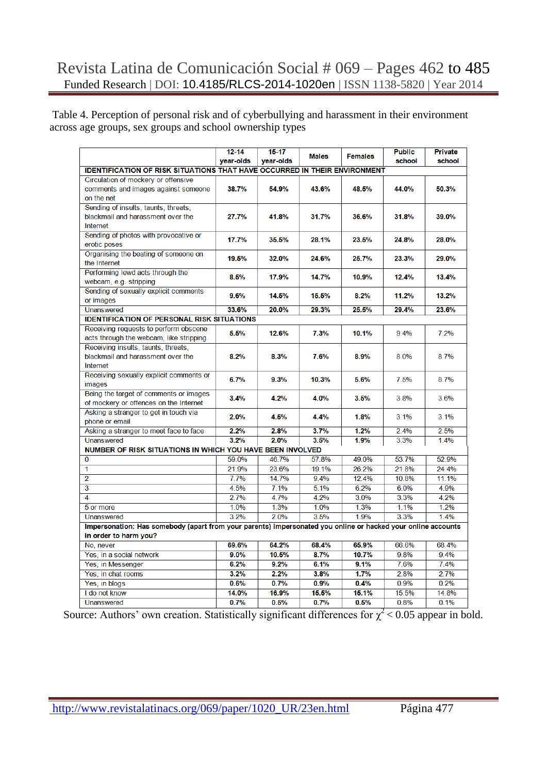Table 4. Perception of personal risk and of cyberbullying and harassment in their environment across age groups, sex groups and school ownership types

|                                                                                                              | $12 - 14$ | 15-17     |              |                | <b>Public</b> | Private |  |  |  |
|--------------------------------------------------------------------------------------------------------------|-----------|-----------|--------------|----------------|---------------|---------|--|--|--|
|                                                                                                              | year-olds | year-olds | <b>Males</b> | <b>Females</b> | school        | school  |  |  |  |
| <b>IDENTIFICATION OF RISK SITUATIONS THAT HAVE OCCURRED IN THEIR ENVIRONMENT</b>                             |           |           |              |                |               |         |  |  |  |
| Circulation of mockery or offensive                                                                          |           |           |              |                |               |         |  |  |  |
| comments and images against someone                                                                          | 38.7%     | 54.9%     | 43.6%        | 48.5%          | 44.0%         | 50.3%   |  |  |  |
| on the net                                                                                                   |           |           |              |                |               |         |  |  |  |
| Sending of insults, taunts, threats,                                                                         |           |           |              |                |               |         |  |  |  |
| blackmail and harassment over the                                                                            | 27.7%     | 41.8%     | 31.7%        | 36.6%          | 31.8%         | 39.0%   |  |  |  |
| Internet                                                                                                     |           |           |              |                |               |         |  |  |  |
| Sending of photos with provocative or                                                                        | 17.7%     | 35.5%     | 28.1%        | 23.5%          | 24.8%         | 28.0%   |  |  |  |
| erotic poses                                                                                                 |           |           |              |                |               |         |  |  |  |
| Organising the beating of someone on                                                                         | 19.5%     | 32.0%     | 24.6%        | 25.7%          | 23.3%         | 29.0%   |  |  |  |
| the Internet                                                                                                 |           |           |              |                |               |         |  |  |  |
| Performing lewd acts through the                                                                             | 8.5%      | 17.9%     | 14.7%        | 10.9%          | 12.4%         | 13.4%   |  |  |  |
| webcam, e.g. stripping                                                                                       |           |           |              |                |               |         |  |  |  |
| Sending of sexually explicit comments                                                                        | 9.6%      | 14.5%     | 15.5%        | 8.2%           | 11.2%         | 13.2%   |  |  |  |
| or images                                                                                                    |           |           |              |                |               |         |  |  |  |
| Unanswered                                                                                                   | 33.6%     | 20.0%     | 29.3%        | 25.5%          | 29.4%         | 23.6%   |  |  |  |
| <b>IDENTIFICATION OF PERSONAL RISK SITUATIONS</b>                                                            |           |           |              |                |               |         |  |  |  |
| Receiving requests to perform obscene                                                                        | 5.5%      | 12.6%     | 7.3%         | 10.1%          | 9.4%          | 7.2%    |  |  |  |
| acts through the webcam, like stripping.                                                                     |           |           |              |                |               |         |  |  |  |
| Receiving insults, taunts, threats,                                                                          | 8.2%      | 8.3%      | 7.6%         | 8.9%           | 8.0%          | 8.7%    |  |  |  |
| blackmail and harassment over the<br>Internet                                                                |           |           |              |                |               |         |  |  |  |
| Receiving sexually explicit comments or                                                                      |           |           |              |                |               |         |  |  |  |
| images                                                                                                       | 6.7%      | 9.3%      | 10.3%        | 5.6%           | 7.5%          | 8.7%    |  |  |  |
| Being the target of comments or images                                                                       |           |           |              |                |               |         |  |  |  |
| of mockery or offences on the Internet                                                                       | 3.4%      | 4.2%      | 4.0%         | 3.5%           | 3.8%          | 3.6%    |  |  |  |
| Asking a stranger to get in touch via                                                                        |           |           |              |                |               |         |  |  |  |
| phone or email                                                                                               | 2.0%      | 4.5%      | 4.4%         | 1.8%           | 3.1%          | 3.1%    |  |  |  |
| Asking a stranger to meet face to face                                                                       | 2.2%      | 2.8%      | 3.7%         | 1.2%           | 2.4%          | 2.5%    |  |  |  |
| <b>Unanswered</b>                                                                                            | 3.2%      | 2.0%      | 3.5%         | 1.9%           | 3.3%          | 1.4%    |  |  |  |
| NUMBER OF RISK SITUATIONS IN WHICH YOU HAVE BEEN INVOLVED                                                    |           |           |              |                |               |         |  |  |  |
| $\Omega$                                                                                                     | 59.0%     | 46.7%     | 57.8%        | 49.0%          | 53.7%         | 52.9%   |  |  |  |
| 1                                                                                                            | 21.9%     | 23.6%     | 19.1%        | 26.2%          | 21.8%         | 24.4%   |  |  |  |
| $\overline{2}$                                                                                               | 7.7%      | 14.7%     | 9.4%         | 12.4%          | 10.8%         | 11.1%   |  |  |  |
| 3                                                                                                            | 4.5%      | 7.1%      | 5.1%         | 6.2%           | 6.0%          | 4.9%    |  |  |  |
| 4                                                                                                            | 2.7%      | 4.7%      | 4.2%         | 3.0%           | 3.3%          | 4.2%    |  |  |  |
| 5 or more                                                                                                    | 1.0%      | 1.3%      | 1.0%         | 1.3%           | 1.1%          | 1.2%    |  |  |  |
| <b>Unanswered</b>                                                                                            | 3.2%      | 2.0%      | 3.5%         | 1.9%           | 3.3%          | 1.4%    |  |  |  |
| Impersonation: Has somebody (apart from your parents) impersonated you online or hacked your online accounts |           |           |              |                |               |         |  |  |  |
| in order to harm you?                                                                                        |           |           |              |                |               |         |  |  |  |
| No, never                                                                                                    | 69.6%     | 64.2%     | 68.4%        | 65.9%          | 66.6%         | 68.4%   |  |  |  |
| Yes, in a social network                                                                                     | 9.0%      | 10.5%     | 8.7%         | 10.7%          | 9.8%          | 9.4%    |  |  |  |
| Yes, in Messenger                                                                                            | 6.2%      | 9.2%      | 6.1%         | 9.1%           | 7.6%          | 7.4%    |  |  |  |
| Yes, in chat rooms                                                                                           | 3.2%      | 2.2%      | 3.8%         | 1.7%           | 2.8%          | 2.7%    |  |  |  |
| Yes, in blogs                                                                                                | 0.6%      | 0.7%      | 0.9%         | 0.4%           | 0.9%          | 0.2%    |  |  |  |
| I do not know                                                                                                | 14.0%     | 16.9%     | 15.5%        | 15.1%          | 15.5%         | 14.8%   |  |  |  |
| Unanswered                                                                                                   | 0.7%      | 0.5%      | 0.7%         | 0.5%           | 0.8%          | 0.1%    |  |  |  |

Source: Authors' own creation. Statistically significant differences for  $\chi^2$  < 0.05 appear in bold.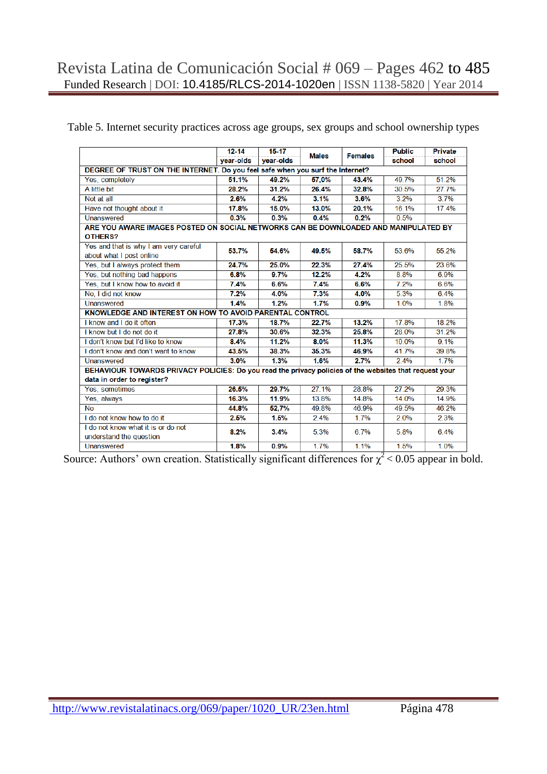|  |  |  |  | Table 5. Internet security practices across age groups, sex groups and school ownership types |
|--|--|--|--|-----------------------------------------------------------------------------------------------|
|  |  |  |  |                                                                                               |

|                                                                                                        | $12 - 14$ | $15 - 17$ | <b>Males</b> | <b>Females</b> | <b>Public</b> | Private |  |  |  |  |
|--------------------------------------------------------------------------------------------------------|-----------|-----------|--------------|----------------|---------------|---------|--|--|--|--|
|                                                                                                        | year-olds | year-olds |              |                | school        | school  |  |  |  |  |
| DEGREE OF TRUST ON THE INTERNET. Do you feel safe when you surf the Internet?                          |           |           |              |                |               |         |  |  |  |  |
| Yes, completely                                                                                        | 51.1%     | 49.2%     | 57,0%        | 43.4%          | 49.7%         | 51.2%   |  |  |  |  |
| A little bit                                                                                           | 28.2%     | 31.2%     | 26.4%        | 32.8%          | 30.5%         | 27.7%   |  |  |  |  |
| Not at all                                                                                             | 2.6%      | 4.2%      | 3.1%         | 3.6%           | 3.2%          | 3.7%    |  |  |  |  |
| Have not thought about it                                                                              | 17.8%     | 15.0%     | 13.0%        | 20.1%          | 16.1%         | 17.4%   |  |  |  |  |
| Unanswered                                                                                             | 0.3%      | 0.3%      | 0.4%         | 0.2%           | 0.5%          |         |  |  |  |  |
| ARE YOU AWARE IMAGES POSTED ON SOCIAL NETWORKS CAN BE DOWNLOADED AND MANIPULATED BY                    |           |           |              |                |               |         |  |  |  |  |
| OTHERS?                                                                                                |           |           |              |                |               |         |  |  |  |  |
| Yes and that is why I am very careful                                                                  | 53.7%     | 54.6%     | 49.5%        | 58.7%          | 53.6%         | 55.2%   |  |  |  |  |
| about what I post online                                                                               |           |           |              |                |               |         |  |  |  |  |
| Yes, but I always protect them                                                                         | 24.7%     | 25.0%     | 22.3%        | 27.4%          | 25.5%         | 23.6%   |  |  |  |  |
| Yes, but nothing bad happens                                                                           | 6.8%      | 9.7%      | 12.2%        | 4.2%           | 8.8%          | 6.9%    |  |  |  |  |
| Yes, but I know how to avoid it                                                                        | 7.4%      | 6.6%      | 7.4%         | 6.6%           | 7.2%          | 6.6%    |  |  |  |  |
| No, I did not know                                                                                     | 7.2%      | 4.0%      | 7.3%         | 4.0%           | 5.3%          | 6.4%    |  |  |  |  |
| Unanswered                                                                                             | 1.4%      | 1.2%      | 1.7%         | 0.9%           | 1.0%          | 1.8%    |  |  |  |  |
| KNOWLEDGE AND INTEREST ON HOW TO AVOID PARENTAL CONTROL                                                |           |           |              |                |               |         |  |  |  |  |
| I know and I do it often                                                                               | 17.3%     | 18.7%     | 22.7%        | 13.2%          | 17.8%         | 18.2%   |  |  |  |  |
| I know but I do not do it                                                                              | 27.8%     | 30.6%     | 32.3%        | 25.8%          | 28.0%         | 31.2%   |  |  |  |  |
| I don't know but I'd like to know                                                                      | 8.4%      | 11.2%     | 8.0%         | 11.3%          | 10.0%         | 9.1%    |  |  |  |  |
| I don't know and don't want to know                                                                    | 43.5%     | 38.3%     | 35.3%        | 46.9%          | 41.7%         | 39.8%   |  |  |  |  |
| Unanswered                                                                                             | 3.0%      | 1.3%      | 1.6%         | 2.7%           | 2.4%          | 1.7%    |  |  |  |  |
| BEHAVIOUR TOWARDS PRIVACY POLICIES: Do you read the privacy policies of the websites that request your |           |           |              |                |               |         |  |  |  |  |
| data in order to register?                                                                             |           |           |              |                |               |         |  |  |  |  |
| Yes, sometimes                                                                                         | 26.5%     | 29.7%     | 27.1%        | 28.8%          | 27.2%         | 29.3%   |  |  |  |  |
| Yes, always                                                                                            | 16.3%     | 11.9%     | 13.8%        | 14.8%          | 14.0%         | 14.9%   |  |  |  |  |
| <b>No</b>                                                                                              | 44.8%     | 52,7%     | 49.8%        | 46.9%          | 49.5%         | 46.2%   |  |  |  |  |
| I do not know how to do it                                                                             | 2.5%      | 1.5%      | 2.4%         | 1.7%           | 2.0%          | 2.3%    |  |  |  |  |
| I do not know what it is or do not                                                                     | 8.2%      | 3.4%      | 5.3%         | 6.7%           | 5.8%          | 6.4%    |  |  |  |  |
| understand the question                                                                                |           |           |              |                |               |         |  |  |  |  |
| Unanswered                                                                                             | 1.8%      | 0.9%      | 1.7%         | 1.1%           | 1.5%          | 1.0%    |  |  |  |  |

Source: Authors' own creation. Statistically significant differences for  $\chi^2$  < 0.05 appear in bold.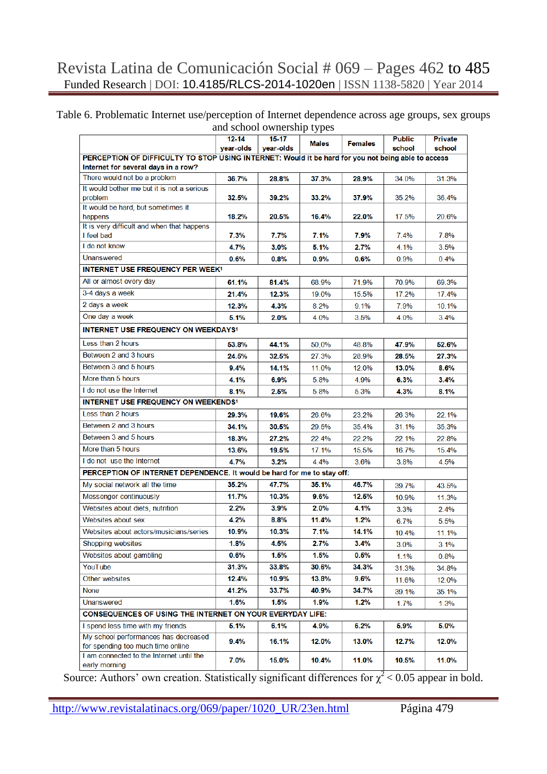#### Table 6. Problematic Internet use/perception of Internet dependence across age groups, sex groups and school ownership types

| and School Owncromp types<br>$12 - 14$<br>$15-17$                                                  |           |           |              |                |                         |                   |  |  |  |
|----------------------------------------------------------------------------------------------------|-----------|-----------|--------------|----------------|-------------------------|-------------------|--|--|--|
|                                                                                                    | year-olds | year-olds | <b>Males</b> | <b>Females</b> | <b>Public</b><br>school | Private<br>school |  |  |  |
| PERCEPTION OF DIFFICULTY TO STOP USING INTERNET: Would it be hard for you not being able to access |           |           |              |                |                         |                   |  |  |  |
| Internet for several days in a row?                                                                |           |           |              |                |                         |                   |  |  |  |
| There would not be a problem                                                                       | 36.7%     | 28.8%     | 37.3%        | 28.9%          | 34.0%                   | 31.3%             |  |  |  |
| It would bother me but it is not a serious                                                         |           |           |              |                |                         |                   |  |  |  |
| problem                                                                                            | 32.5%     | 39.2%     | 33.2%        | 37.9%          | 35.2%                   | 36.4%             |  |  |  |
| It would be hard, but sometimes it                                                                 |           |           |              |                |                         |                   |  |  |  |
| happens                                                                                            | 18.2%     | 20.5%     | 16.4%        | 22.0%          | 17.5%                   | 20.6%             |  |  |  |
| It is very difficult and when that happens<br>I feel bad                                           | 7.3%      | 7.7%      | 7.1%         | 7.9%           | 7.4%                    | 7.8%              |  |  |  |
| I do not know                                                                                      | 4.7%      |           |              |                |                         |                   |  |  |  |
| <b>Unanswered</b>                                                                                  |           | $3.0\%$   | 5.1%         | 2.7%           | 4.1%                    | 3.5%              |  |  |  |
|                                                                                                    | 0.6%      | 0.8%      | 0.9%         | 0.6%           | 0.9%                    | 0.4%              |  |  |  |
| <b>INTERNET USE FREQUENCY PER WEEK<sup>1</sup></b>                                                 |           |           |              |                |                         |                   |  |  |  |
| All or almost every day                                                                            | 61.1%     | 81.4%     | 68.9%        | 71.9%          | 70.9%                   | 69.3%             |  |  |  |
| 3-4 days a week                                                                                    | 21.4%     | 12.3%     | 19.0%        | 15.5%          | 17.2%                   | 17.4%             |  |  |  |
| 2 days a week                                                                                      | 12.3%     | 4.3%      | 8.2%         | 9.1%           | 7.9%                    | 10.1%             |  |  |  |
| One day a week                                                                                     | 5.1%      | 2.0%      | 4.0%         | 3.5%           | 4.0%                    | 3.4%              |  |  |  |
| <b>INTERNET USE FREQUENCY ON WEEKDAYS1</b>                                                         |           |           |              |                |                         |                   |  |  |  |
| Less than 2 hours                                                                                  | 53.8%     | 44.1%     | 50,0%        | 48.8%          | 47.9%                   | 52.6%             |  |  |  |
| Between 2 and 3 hours                                                                              | 24.5%     | 32.5%     | 27.3%        | 28.9%          | 28.5%                   | 27.3%             |  |  |  |
| Between 3 and 5 hours                                                                              | 9.4%      | 14.1%     | 11.0%        | 12.0%          | 13.0%                   | 8.6%              |  |  |  |
| More than 5 hours                                                                                  | 4.1%      | 6.9%      | 5.8%         | 4.9%           | 6.3%                    | 3.4%              |  |  |  |
| I do not use the Internet                                                                          | 8.1%      | 2.5%      | 5.8%         | 5.3%           | 4.3%                    | 8.1%              |  |  |  |
| <b>INTERNET USE FREQUENCY ON WEEKENDS<sup>1</sup></b>                                              |           |           |              |                |                         |                   |  |  |  |
| Less than 2 hours                                                                                  | 29.3%     | 19.6%     | 26.6%        | 23.2%          | 26.3%                   | 22.1%             |  |  |  |
| Between 2 and 3 hours                                                                              |           |           |              |                |                         |                   |  |  |  |
|                                                                                                    | 34.1%     | 30.5%     | 29.5%        | 35.4%          | 31.1%                   | 35.3%             |  |  |  |
| Between 3 and 5 hours                                                                              | 18.3%     | 27.2%     | 22.4%        | 22.2%          | 22.1%                   | 22.8%             |  |  |  |
| More than 5 hours                                                                                  | 13.6%     | 19.5%     | 17.1%        | 15.5%          | 16.7%                   | 15.4%             |  |  |  |
| I do not use the Internet                                                                          | 4.7%      | 3.2%      | 4.4%         | 3.6%           | 3.8%                    | 4.5%              |  |  |  |
| PERCEPTION OF INTERNET DEPENDENCE. It would be hard for me to stay off:                            |           |           |              |                |                         |                   |  |  |  |
| My social network all the time                                                                     | 35.2%     | 47.7%     | 35.1%        | 46.7%          | 39.7%                   | 43.5%             |  |  |  |
| Messenger continuously                                                                             | 11.7%     | 10.3%     | 9.6%         | 12.5%          | 10.9%                   | 11.3%             |  |  |  |
| Websites about diets, nutrition                                                                    | $2.2\%$   | 3.9%      | 2.0%         | 4.1%           | 3.3%                    | 2.4%              |  |  |  |
| Websites about sex                                                                                 | 4.2%      | 8.8%      | 11.4%        | 1.2%           | 6.7%                    | 5.5%              |  |  |  |
| Websites about actors/musicians/series                                                             | 10.9%     | 10.3%     | 7.1%         | 14.1%          | 10.4%                   | 11.1%             |  |  |  |
| Shopping websites                                                                                  | 1.8%      | 4.5%      | $2.7\%$      | 3.4%           | 3.0%                    | 3.1%              |  |  |  |
| Websites about gambling                                                                            | $0.6\%$   | 1.5%      | 1.5%         | 0.5%           | 1.1%                    | 0.8%              |  |  |  |
| YouTube                                                                                            | 31.3%     | 33.8%     | 30.6%        | 34.3%          |                         |                   |  |  |  |
| Other websites                                                                                     | 12.4%     | 10.9%     | 13.8%        | 9.6%           | 31.3%                   | 34.8%             |  |  |  |
|                                                                                                    |           |           |              |                | 11.6%                   | 12.0%             |  |  |  |
| None                                                                                               | 41.2%     | 33.7%     | 40.9%        | 34.7%          | 39.1%                   | 35.1%             |  |  |  |
| <b>Unanswered</b>                                                                                  | 1.6%      | 1.5%      | 1.9%         | 1.2%           | 1.7%                    | 1.3%              |  |  |  |
| CONSEQUENCES OF USING THE INTERNET ON YOUR EVERYDAY LIFE:                                          |           |           |              |                |                         |                   |  |  |  |
| I spend less time with my friends                                                                  | 5.1%      | 6.1%      | 4.9%         | 6.2%           | 5.9%                    | 5.0%              |  |  |  |
| My school performances has decreased<br>for spending too much time online                          | 9.4%      | 16.1%     | 12.0%        | 13.0%          | 12.7%                   | 12.0%             |  |  |  |
| I am connected to the Internet until the                                                           |           |           |              |                |                         |                   |  |  |  |
| early morning                                                                                      | 7.0%      | 15.0%     | 10.4%        | 11.0%          | 10.5%                   | 11.0%             |  |  |  |

Source: Authors' own creation. Statistically significant differences for  $\chi^2$  < 0.05 appear in bold.

http://www.revistalatinacs.org/069/paper/1020\_UR/23en.html Página 479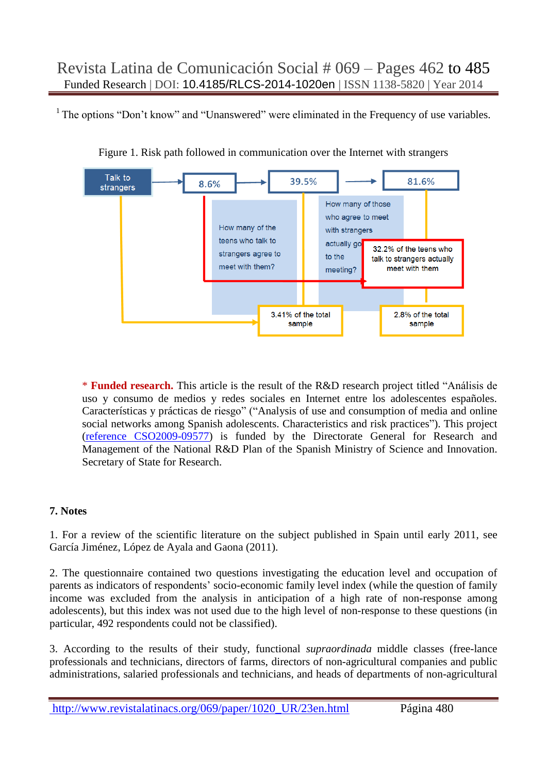<sup>1</sup> The options "Don't know" and "Unanswered" were eliminated in the Frequency of use variables.



Figure 1. Risk path followed in communication over the Internet with strangers

\* **Funded research.** This article is the result of the R&D research project titled "Análisis de uso y consumo de medios y redes sociales en Internet entre los adolescentes españoles. Características y prácticas de riesgo" ("Analysis of use and consumption of media and online social networks among Spanish adolescents. Characteristics and risk practices"). This project [\(reference CSO2009-09577\)](../1020_UR-10/proyecto.pdf) is funded by the Directorate General for Research and Management of the National R&D Plan of the Spanish Ministry of Science and Innovation. Secretary of State for Research.

## **7. Notes**

1. For a review of the scientific literature on the subject published in Spain until early 2011, see García Jiménez, López de Ayala and Gaona (2011).

2. The questionnaire contained two questions investigating the education level and occupation of parents as indicators of respondents' socio-economic family level index (while the question of family income was excluded from the analysis in anticipation of a high rate of non-response among adolescents), but this index was not used due to the high level of non-response to these questions (in particular, 492 respondents could not be classified).

3. According to the results of their study, functional *supraordinada* middle classes (free-lance professionals and technicians, directors of farms, directors of non-agricultural companies and public administrations, salaried professionals and technicians, and heads of departments of non-agricultural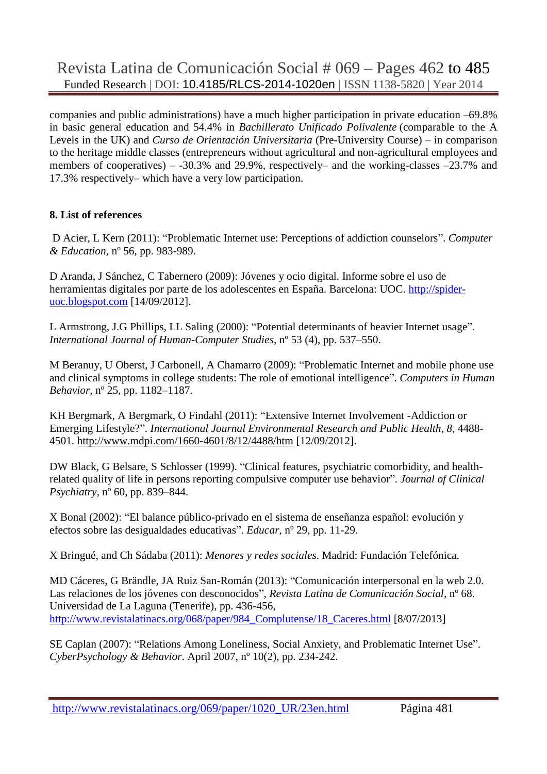companies and public administrations) have a much higher participation in private education –69.8% in basic general education and 54.4% in *Bachillerato Unificado Polivalente* (comparable to the A Levels in the UK) and *Curso de Orientación Universitaria* (Pre-University Course) – in comparison to the heritage middle classes (entrepreneurs without agricultural and non-agricultural employees and members of cooperatives) – -30.3% and 29.9%, respectively– and the working-classes –23.7% and 17.3% respectively– which have a very low participation.

## **8. List of references**

D Acier, L Kern (2011): "Problematic Internet use: Perceptions of addiction counselors". *Computer & Education*, nº 56, pp. 983-989.

D Aranda, J Sánchez, C Tabernero (2009): Jóvenes y ocio digital. Informe sobre el uso de herramientas digitales por parte de los adolescentes en España. Barcelona: UOC. [http://spider](http://spider-uoc.blogspot.com/)[uoc.blogspot.com](http://spider-uoc.blogspot.com/) [14/09/2012].

L Armstrong, J.G Phillips, LL Saling (2000): "Potential determinants of heavier Internet usage". *International Journal of Human-Computer Studies*, nº 53 (4), pp. 537–550.

M Beranuy, U Oberst, J Carbonell, A Chamarro (2009): "Problematic Internet and mobile phone use and clinical symptoms in college students: The role of emotional intelligence". *Computers in Human Behavior,* nº 25, pp. 1182–1187.

KH Bergmark, A Bergmark, O Findahl (2011): "Extensive Internet Involvement -Addiction or Emerging Lifestyle?". *International Journal Environmental Research and Public Health*, *8*, 4488- 4501.<http://www.mdpi.com/1660-4601/8/12/4488/htm> [12/09/2012].

DW Black, G Belsare, S Schlosser (1999). "Clinical features, psychiatric comorbidity, and healthrelated quality of life in persons reporting compulsive computer use behavior". *Journal of Clinical Psychiatry*, nº 60, pp. 839–844.

X Bonal (2002): "El balance público-privado en el sistema de enseñanza español: evolución y efectos sobre las desigualdades educativas". *Educar*, nº 29, pp. 11-29.

X Bringué, and Ch Sádaba (2011): *Menores y redes sociales*. Madrid: Fundación Telefónica.

MD Cáceres, G Brändle, JA Ruiz San-Román (2013): "Comunicación interpersonal en la web 2.0. Las relaciones de los jóvenes con desconocidos", *Revista Latina de Comunicación Social*, nº 68. Universidad de La Laguna (Tenerife), pp. 436-456, [http://www.revistalatinacs.org/068/paper/984\\_Complutense/18\\_Caceres.html](http://www.revistalatinacs.org/068/paper/984_Complutense/18_Caceres.html) [8/07/2013]

SE Caplan (2007): "Relations Among Loneliness, Social Anxiety, and Problematic Internet Use". *CyberPsychology & Behavior*. April 2007, nº 10(2), pp. 234-242.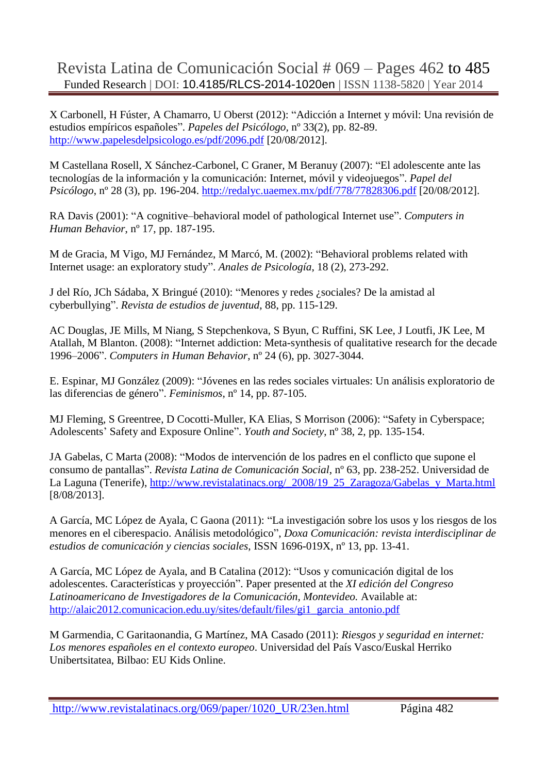X Carbonell, H Fúster, A Chamarro, U Oberst (2012): "Adicción a Internet y móvil: Una revisión de estudios empíricos españoles". *Papeles del Psicólogo,* nº 33(2), pp. 82-89. <http://www.papelesdelpsicologo.es/pdf/2096.pdf> [20/08/2012].

M Castellana Rosell, X Sánchez-Carbonel, C Graner, M Beranuy (2007): "El adolescente ante las tecnologías de la información y la comunicación: Internet, móvil y videojuegos". *Papel del Psicólogo*, nº 28 (3), pp. 196-204.<http://redalyc.uaemex.mx/pdf/778/77828306.pdf> [20/08/2012].

RA Davis (2001): "A cognitive–behavioral model of pathological Internet use". *Computers in Human Behavior*, nº 17, pp. 187-195.

M de Gracia, M Vigo, MJ Fernández, M Marcó, M. (2002): "Behavioral problems related with Internet usage: an exploratory study". *Anales de Psicología*, 18 (2), 273-292.

J del Río, JCh Sádaba, X Bringué (2010): "Menores y redes ¿sociales? De la amistad al cyberbullying". *Revista de estudios de juventud*, 88, pp. 115-129.

AC Douglas, JE Mills, M Niang, S Stepchenkova, S Byun, C Ruffini, SK Lee, J Loutfi, JK Lee, M Atallah, M Blanton. (2008): "Internet addiction: Meta-synthesis of qualitative research for the decade 1996–2006". *Computers in Human Behavior*, nº 24 (6), pp. 3027-3044.

E. Espinar, MJ González (2009): "Jóvenes en las redes sociales virtuales: Un análisis exploratorio de las diferencias de género". *Feminismos*, nº 14, pp. 87-105.

MJ Fleming, S Greentree, D Cocotti-Muller, KA Elias, S Morrison (2006): "Safety in Cyberspace; Adolescents' Safety and Exposure Online". *Youth and Society*, nº 38, 2, pp. 135-154.

JA Gabelas, C Marta (2008): "Modos de intervención de los padres en el conflicto que supone el consumo de pantallas". *Revista Latina de Comunicación Social*, nº 63, pp. 238-252. Universidad de La Laguna (Tenerife), http://www.revistalatinacs.org/ 2008/19\_25\_Zaragoza/Gabelas\_v\_Marta.html [8/08/2013].

A García, MC López de Ayala, C Gaona (2011): "La investigación sobre los usos y los riesgos de los menores en el ciberespacio. Análisis metodológico", *Doxa Comunicación: revista interdisciplinar de estudios de comunicación y ciencias sociales*, ISSN 1696-019X, nº 13, pp. 13-41.

A García, MC López de Ayala, and B Catalina (2012): "Usos y comunicación digital de los adolescentes. Características y proyección". Paper presented at the *XI edición del Congreso Latinoamericano de Investigadores de la Comunicación, Montevideo.* Available at: [http://alaic2012.comunicacion.edu.uy/sites/default/files/gi1\\_garcia\\_antonio.pdf](http://alaic2012.comunicacion.edu.uy/sites/default/files/gi1_garcia_antonio.pdf)

M Garmendia, C Garitaonandia, G Martínez, MA Casado (2011): *Riesgos y seguridad en internet: Los menores españoles en el contexto europeo*. Universidad del País Vasco/Euskal Herriko Unibertsitatea, Bilbao: EU Kids Online.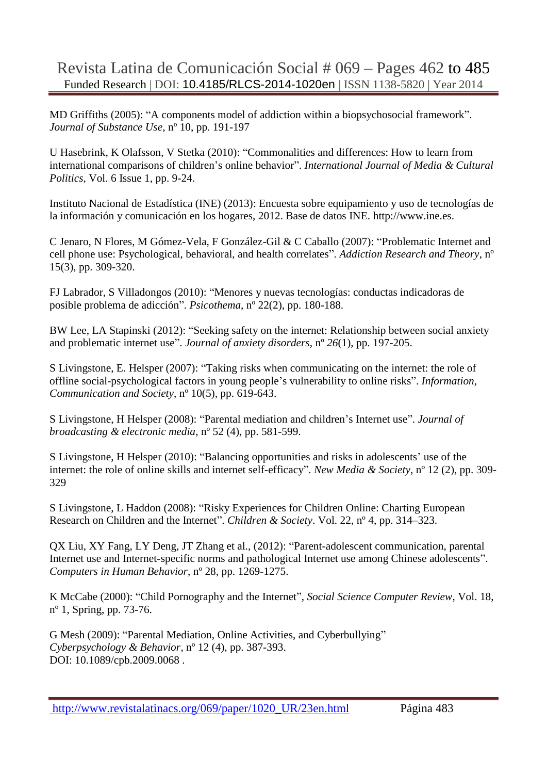MD Griffiths (2005): "A components model of addiction within a biopsychosocial framework". *Journal of Substance Use*, nº 10, pp. 191-197

U Hasebrink, K Olafsson, V Stetka (2010): "Commonalities and differences: How to learn from international comparisons of children's online behavior". *International Journal of Media & Cultural Politics*, Vol. 6 Issue 1, pp. 9-24.

Instituto Nacional de Estadística (INE) (2013): Encuesta sobre equipamiento y uso de tecnologías de la información y comunicación en los hogares, 2012. Base de datos INE. [http://www.ine.es.](http://www.ine.es/)

C Jenaro, N Flores, M Gómez-Vela, F González-Gil & C Caballo (2007): "Problematic Internet and cell phone use: Psychological, behavioral, and health correlates". *Addiction Research and Theory*, nº 15(3), pp. 309-320.

FJ Labrador, S Villadongos (2010): "Menores y nuevas tecnologías: conductas indicadoras de posible problema de adicción". *Psicothema*, nº 22(2), pp. 180-188.

BW Lee, LA Stapinski (2012): "Seeking safety on the internet: Relationship between social anxiety and problematic internet use". *Journal of anxiety disorders*, nº *26*(1), pp. 197-205.

S Livingstone, E. Helsper (2007): "Taking risks when communicating on the internet: the role of offline social-psychological factors in young people's vulnerability to online risks". *Information, Communication and Society*, nº 10(5), pp. 619-643.

S Livingstone, H Helsper (2008): "Parental mediation and children's Internet use". *Journal of broadcasting & electronic media*, nº 52 (4), pp. 581-599.

S [Livingstone,](https://vpnssl.urjc.es/,DanaInfo=nms.sagepub.com+search?author1=Sonia+Livingstone&sortspec=date&submit=Submit) H [Helsper](https://vpnssl.urjc.es/,DanaInfo=nms.sagepub.com+search?author1=Ellen+Helsper&sortspec=date&submit=Submit) (2010): "Balancing opportunities and risks in adolescents' use of the internet: the role of online skills and internet self-efficacy". *New Media & Society*, nº 12 (2), pp. 309- 329

S Livingstone, L Haddon (2008): "Risky Experiences for Children Online: Charting European Research on Children and the Internet". *Children & Society*. Vol. 22, nº 4, pp. 314–323.

QX Liu, XY Fang, LY Deng, JT Zhang et al., (2012): "Parent-adolescent communication, parental Internet use and Internet-specific norms and pathological Internet use among Chinese adolescents". *Computers in Human Behavior*, nº 28, pp. 1269-1275.

K McCabe (2000): "Child Pornography and the Internet", *Social Science Computer Review*, Vol. 18, nº 1, Spring, pp. 73-76.

G Mesh (2009): ["Parental Mediation, Online Activities, and Cyberbullying"](https://vpnssl.urjc.es/,DanaInfo=apps.webofknowledge.com+full_record.do?product=WOS&search_mode=GeneralSearch&qid=1&SID=Q1@DBN1l3eldc2KM4@f&page=27&doc=269) *Cyberpsychology & Behavior*, nº 12 (4), pp. 387-393. DOI: 10.1089/cpb.2009.0068 .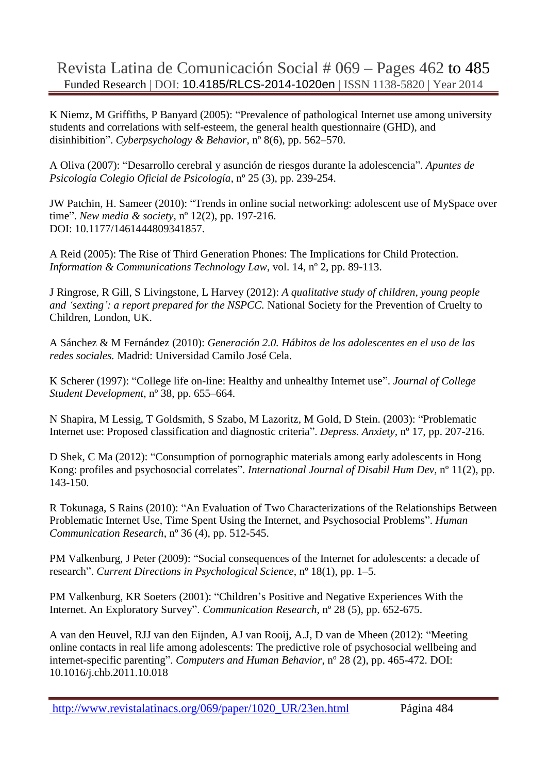K Niemz, M Griffiths, P Banyard (2005): "Prevalence of pathological Internet use among university students and correlations with self-esteem, the general health questionnaire (GHD), and disinhibition". *Cyberpsychology & Behavior*, nº 8(6), pp. 562–570.

A Oliva (2007): "Desarrollo cerebral y asunción de riesgos durante la adolescencia". *Apuntes de Psicología Colegio Oficial de Psicología*, nº 25 (3), pp. 239-254.

JW Patchin, H. Sameer (2010): "Trends in online social networking: adolescent use of MySpace over time". *New media & society,* nº 12(2), pp. 197-216. DOI: 10.1177/1461444809341857.

A Reid (2005): The Rise of Third Generation Phones: The Implications for Child Protection. *Information & Communications Technology Law*, vol. 14, nº 2, pp. 89-113.

J Ringrose, R Gill, S Livingstone, L Harvey (2012): *A qualitative study of children, young people and 'sexting': a report prepared for the NSPCC.* National Society for the Prevention of Cruelty to Children, London, UK.

A Sánchez & M Fernández (2010): *Generación 2.0. Hábitos de los adolescentes en el uso de las redes sociales.* Madrid: Universidad Camilo José Cela.

K Scherer (1997): "College life on-line: Healthy and unhealthy Internet use". *Journal of College Student Development*, nº 38, pp. 655–664.

N Shapira, M Lessig, T Goldsmith, S Szabo, M Lazoritz, M Gold, D Stein. (2003): "Problematic Internet use: Proposed classification and diagnostic criteria". *Depress. Anxiety,* nº 17, pp. 207-216.

D Shek, C Ma (2012): "Consumption of pornographic materials among early adolescents in Hong Kong: profiles and psychosocial correlates". *International Journal of Disabil Hum Dev,* n° 11(2), pp. 143-150.

R Tokunaga, S Rains (2010): "An Evaluation of Two Characterizations of the Relationships Between Problematic Internet Use, Time Spent Using the Internet, and Psychosocial Problems". *Human Communication Research*, nº 36 (4), pp. 512-545.

PM Valkenburg, J Peter (2009): "Social consequences of the Internet for adolescents: a decade of research". *Current Directions in Psychological Science*, nº 18(1), pp. 1–5.

PM [Valkenburg,](http://crx.sagepub.com/search?author1=PATTI+M.+VALKENBURG&sortspec=date&submit=Submit) KR [Soeters](http://crx.sagepub.com/search?author1=KAREN+E.+SOETERS&sortspec=date&submit=Submit) (2001): "Children's Positive and Negative Experiences With the Internet. An Exploratory Survey". *Communication Research*, nº 28 (5), pp. 652-675.

A van den Heuvel, RJJ van den Eijnden, AJ van Rooij, A.J, D van de Mheen (2012): "Meeting online contacts in real life among adolescents: The predictive role of psychosocial wellbeing and internet-specific parenting". *Computers and Human Behavior*, nº 28 (2), pp. 465-472. DOI: 10.1016/j.chb.2011.10.018